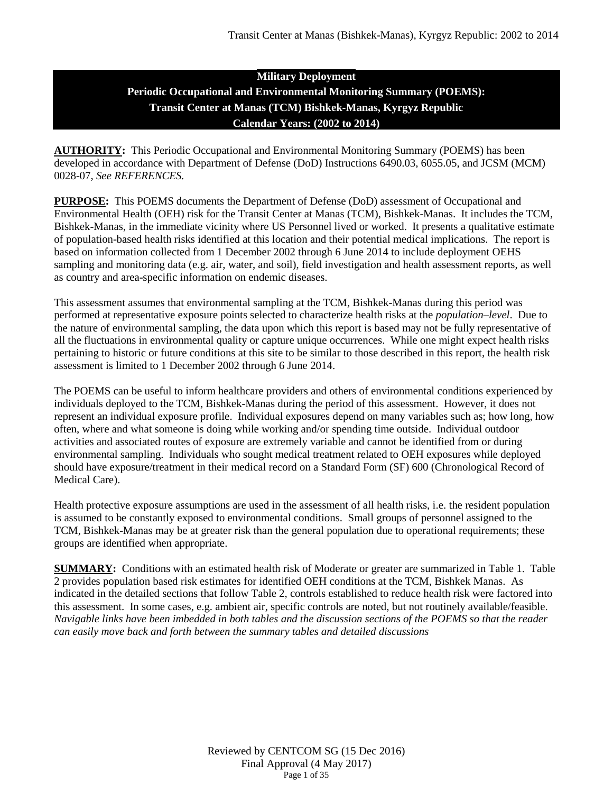# **Military Deployment Periodic Occupational and Environmental Monitoring Summary (POEMS): Transit Center at Manas (TCM) Bishkek-Manas, Kyrgyz Republic Calendar Years: (2002 to 2014)**

**AUTHORITY:** This Periodic Occupational and Environmental Monitoring Summary (POEMS) has been developed in accordance with Department of Defense (DoD) Instructions 6490.03, 6055.05, and JCSM (MCM) 0028-07, *See REFERENCES.*

**PURPOSE:** This POEMS documents the Department of Defense (DoD) assessment of Occupational and Environmental Health (OEH) risk for the Transit Center at Manas (TCM), Bishkek-Manas. It includes the TCM, Bishkek-Manas, in the immediate vicinity where US Personnel lived or worked. It presents a qualitative estimate of population-based health risks identified at this location and their potential medical implications. The report is based on information collected from 1 December 2002 through 6 June 2014 to include deployment OEHS sampling and monitoring data (e.g. air, water, and soil), field investigation and health assessment reports, as well as country and area-specific information on endemic diseases.

This assessment assumes that environmental sampling at the TCM, Bishkek-Manas during this period was performed at representative exposure points selected to characterize health risks at the *population–level*. Due to the nature of environmental sampling, the data upon which this report is based may not be fully representative of all the fluctuations in environmental quality or capture unique occurrences. While one might expect health risks pertaining to historic or future conditions at this site to be similar to those described in this report, the health risk assessment is limited to 1 December 2002 through 6 June 2014.

The POEMS can be useful to inform healthcare providers and others of environmental conditions experienced by individuals deployed to the TCM, Bishkek-Manas during the period of this assessment. However, it does not represent an individual exposure profile. Individual exposures depend on many variables such as; how long, how often, where and what someone is doing while working and/or spending time outside. Individual outdoor activities and associated routes of exposure are extremely variable and cannot be identified from or during environmental sampling. Individuals who sought medical treatment related to OEH exposures while deployed should have exposure/treatment in their medical record on a Standard Form (SF) 600 (Chronological Record of Medical Care).

Health protective exposure assumptions are used in the assessment of all health risks, i.e. the resident population is assumed to be constantly exposed to environmental conditions. Small groups of personnel assigned to the TCM, Bishkek-Manas may be at greater risk than the general population due to operational requirements; these groups are identified when appropriate.

**SUMMARY:** Conditions with an estimated health risk of Moderate or greater are summarized in Table 1. Table 2 provides population based risk estimates for identified OEH conditions at the TCM, Bishkek Manas. As indicated in the detailed sections that follow Table 2, controls established to reduce health risk were factored into this assessment. In some cases, e.g. ambient air, specific controls are noted, but not routinely available/feasible. *Navigable links have been imbedded in both tables and the discussion sections of the POEMS so that the reader can easily move back and forth between the summary tables and detailed discussions*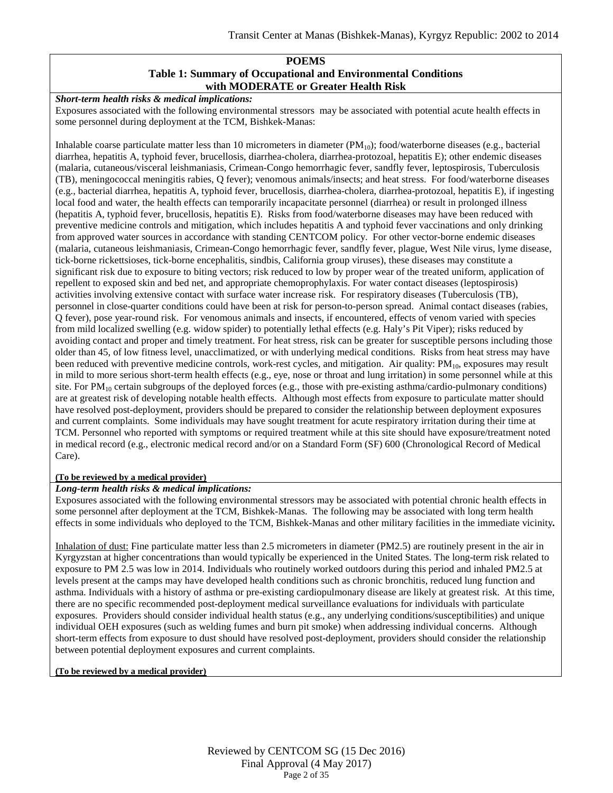#### **POEMS Table 1: Summary of Occupational and Environmental Conditions with MODERATE or Greater Health Risk**

#### *Short-term health risks & medical implications:*

Exposures associated with the following environmental stressors may be associated with potential acute health effects in some personnel during deployment at the TCM, Bishkek-Manas:

Inhalable coarse particulate matter less than 10 micrometers in diameter  $(PM_{10})$ ; food/waterborne diseases (e.g., bacterial diarrhea, hepatitis A, typhoid fever, brucellosis, diarrhea-cholera, diarrhea-protozoal, hepatitis E); other endemic diseases (malaria, cutaneous/visceral leishmaniasis, Crimean-Congo hemorrhagic fever, sandfly fever, leptospirosis, Tuberculosis (TB), meningococcal meningitis rabies, Q fever); venomous animals/insects; and heat stress. For food/waterborne diseases (e.g., bacterial diarrhea, hepatitis A, typhoid fever, brucellosis, diarrhea-cholera, diarrhea-protozoal, hepatitis E), if ingesting local food and water, the health effects can temporarily incapacitate personnel (diarrhea) or result in prolonged illness (hepatitis A, typhoid fever, brucellosis, hepatitis E). Risks from food/waterborne diseases may have been reduced with preventive medicine controls and mitigation, which includes hepatitis A and typhoid fever vaccinations and only drinking from approved water sources in accordance with standing CENTCOM policy. For other vector-borne endemic diseases (malaria, cutaneous leishmaniasis, Crimean-Congo hemorrhagic fever, sandfly fever, plague, West Nile virus, lyme disease, tick-borne rickettsioses, tick-borne encephalitis, sindbis, California group viruses), these diseases may constitute a significant risk due to exposure to biting vectors; risk reduced to low by proper wear of the treated uniform, application of repellent to exposed skin and bed net, and appropriate chemoprophylaxis. For water contact diseases (leptospirosis) activities involving extensive contact with surface water increase risk. For respiratory diseases (Tuberculosis (TB), personnel in close-quarter conditions could have been at risk for person-to-person spread. Animal contact diseases (rabies, Q fever), pose year-round risk. For venomous animals and insects, if encountered, effects of venom varied with species from mild localized swelling (e.g. widow spider) to potentially lethal effects (e.g. Haly's Pit Viper); risks reduced by avoiding contact and proper and timely treatment. For heat stress, risk can be greater for susceptible persons including those older than 45, of low fitness level, unacclimatized, or with underlying medical conditions. Risks from heat stress may have been reduced with preventive medicine controls, work-rest cycles, and mitigation. Air quality:  $PM_{10}$ , exposures may result in mild to more serious short-term health effects (e.g., eye, nose or throat and lung irritation) in some personnel while at this site. For  $PM_{10}$  certain subgroups of the deployed forces (e.g., those with pre-existing asthma/cardio-pulmonary conditions) are at greatest risk of developing notable health effects. Although most effects from exposure to particulate matter should have resolved post-deployment, providers should be prepared to consider the relationship between deployment exposures and current complaints. Some individuals may have sought treatment for acute respiratory irritation during their time at TCM. Personnel who reported with symptoms or required treatment while at this site should have exposure/treatment noted in medical record (e.g., electronic medical record and/or on a Standard Form (SF) 600 (Chronological Record of Medical Care).

#### **(To be reviewed by a medical provider)**

#### *Long-term health risks & medical implications:*

Exposures associated with the following environmental stressors may be associated with potential chronic health effects in some personnel after deployment at the TCM, Bishkek-Manas. The following may be associated with long term health effects in some individuals who deployed to the TCM, Bishkek-Manas and other military facilities in the immediate vicinity*.*

Inhalation of dust: Fine particulate matter less than 2.5 micrometers in diameter (PM2.5) are routinely present in the air in Kyrgyzstan at higher concentrations than would typically be experienced in the United States. The long-term risk related to exposure to PM 2.5 was low in 2014. Individuals who routinely worked outdoors during this period and inhaled PM2.5 at levels present at the camps may have developed health conditions such as chronic bronchitis, reduced lung function and asthma. Individuals with a history of asthma or pre-existing cardiopulmonary disease are likely at greatest risk. At this time, there are no specific recommended post-deployment medical surveillance evaluations for individuals with particulate exposures. Providers should consider individual health status (e.g., any underlying conditions/susceptibilities) and unique individual OEH exposures (such as welding fumes and burn pit smoke) when addressing individual concerns. Although short-term effects from exposure to dust should have resolved post-deployment, providers should consider the relationship between potential deployment exposures and current complaints.

#### **(To be reviewed by a medical provider)**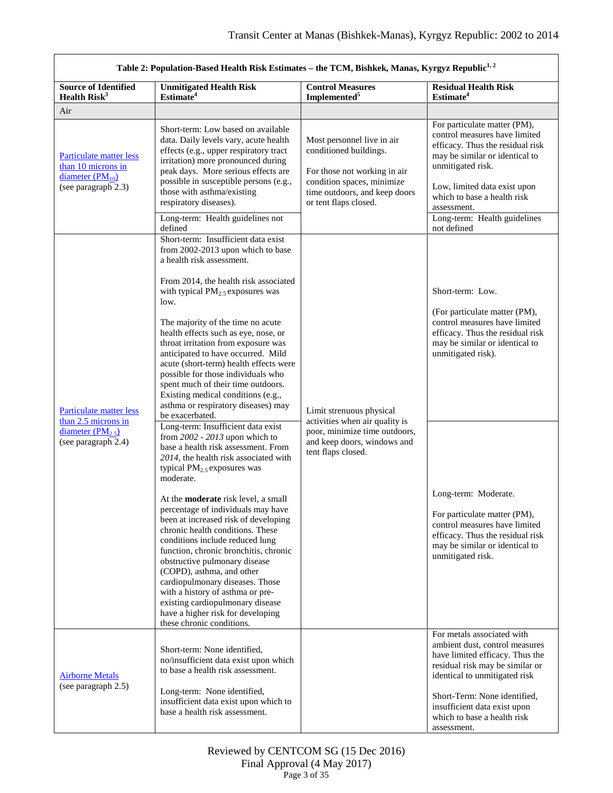<span id="page-2-1"></span><span id="page-2-0"></span>

| Table 2: Population-Based Health Risk Estimates - the TCM, Bishkek, Manas, Kyrgyz Republic <sup>1, 2</sup> |                                                                                                                                                                                                                                                                                                                                                                                                                                                                                                                                                                                                                                                                                                     |                                                                                                                                                                              |                                                                                                                                                                                                                                                                                       |  |
|------------------------------------------------------------------------------------------------------------|-----------------------------------------------------------------------------------------------------------------------------------------------------------------------------------------------------------------------------------------------------------------------------------------------------------------------------------------------------------------------------------------------------------------------------------------------------------------------------------------------------------------------------------------------------------------------------------------------------------------------------------------------------------------------------------------------------|------------------------------------------------------------------------------------------------------------------------------------------------------------------------------|---------------------------------------------------------------------------------------------------------------------------------------------------------------------------------------------------------------------------------------------------------------------------------------|--|
| <b>Source of Identified</b><br>Health Risk <sup>3</sup>                                                    | <b>Unmitigated Health Risk</b><br>Estimate <sup>4</sup>                                                                                                                                                                                                                                                                                                                                                                                                                                                                                                                                                                                                                                             | <b>Control Measures</b><br>Implemented <sup>5</sup>                                                                                                                          | <b>Residual Health Risk</b><br>Estimate <sup>4</sup>                                                                                                                                                                                                                                  |  |
| Air                                                                                                        |                                                                                                                                                                                                                                                                                                                                                                                                                                                                                                                                                                                                                                                                                                     |                                                                                                                                                                              |                                                                                                                                                                                                                                                                                       |  |
| Particulate matter less<br>than 10 microns in<br>diameter $(PM_{10})$<br>(see paragraph 2.3)               | Short-term: Low based on available<br>data. Daily levels vary, acute health<br>effects (e.g., upper respiratory tract<br>irritation) more pronounced during<br>peak days. More serious effects are<br>possible in susceptible persons (e.g.,<br>those with asthma/existing<br>respiratory diseases).<br>Long-term: Health guidelines not<br>defined                                                                                                                                                                                                                                                                                                                                                 | Most personnel live in air<br>conditioned buildings.<br>For those not working in air<br>condition spaces, minimize<br>time outdoors, and keep doors<br>or tent flaps closed. | For particulate matter (PM),<br>control measures have limited<br>efficacy. Thus the residual risk<br>may be similar or identical to<br>unmitigated risk.<br>Low, limited data exist upon<br>which to base a health risk<br>assessment.<br>Long-term: Health guidelines<br>not defined |  |
| Particulate matter less<br>than 2.5 microns in<br>diameter $(PM_{2.5})$<br>(see paragraph 2.4)             | Short-term: Insufficient data exist<br>from 2002-2013 upon which to base<br>a health risk assessment.<br>From 2014, the health risk associated<br>with typical $PM_{2.5}$ exposures was<br>low.<br>The majority of the time no acute<br>health effects such as eye, nose, or<br>throat irritation from exposure was<br>anticipated to have occurred. Mild<br>acute (short-term) health effects were<br>possible for those individuals who<br>spent much of their time outdoors.<br>Existing medical conditions (e.g.,<br>asthma or respiratory diseases) may<br>be exacerbated.                                                                                                                     | Limit strenuous physical<br>activities when air quality is                                                                                                                   | Short-term: Low.<br>(For particulate matter (PM),<br>control measures have limited<br>efficacy. Thus the residual risk<br>may be similar or identical to<br>unmitigated risk).                                                                                                        |  |
|                                                                                                            | Long-term: Insufficient data exist<br>from 2002 - 2013 upon which to<br>base a health risk assessment. From<br>2014, the health risk associated with<br>typical PM <sub>2.5</sub> exposures was<br>moderate.<br>At the <b>moderate</b> risk level, a small<br>percentage of individuals may have<br>been at increased risk of developing<br>chronic health conditions. These<br>conditions include reduced lung<br>function, chronic bronchitis, chronic<br>obstructive pulmonary disease<br>(COPD), asthma, and other<br>cardiopulmonary diseases. Those<br>with a history of asthma or pre-<br>existing cardiopulmonary disease<br>have a higher risk for developing<br>these chronic conditions. | poor, minimize time outdoors,<br>and keep doors, windows and<br>tent flaps closed.                                                                                           | Long-term: Moderate.<br>For particulate matter (PM),<br>control measures have limited<br>efficacy. Thus the residual risk<br>may be similar or identical to<br>unmitigated risk.                                                                                                      |  |
| <b>Airborne Metals</b><br>(see paragraph 2.5)                                                              | Short-term: None identified,<br>no/insufficient data exist upon which<br>to base a health risk assessment.<br>Long-term: None identified,<br>insufficient data exist upon which to<br>base a health risk assessment.                                                                                                                                                                                                                                                                                                                                                                                                                                                                                |                                                                                                                                                                              | For metals associated with<br>ambient dust, control measures<br>have limited efficacy. Thus the<br>residual risk may be similar or<br>identical to unmitigated risk<br>Short-Term: None identified,<br>insufficient data exist upon<br>which to base a health risk<br>assessment.     |  |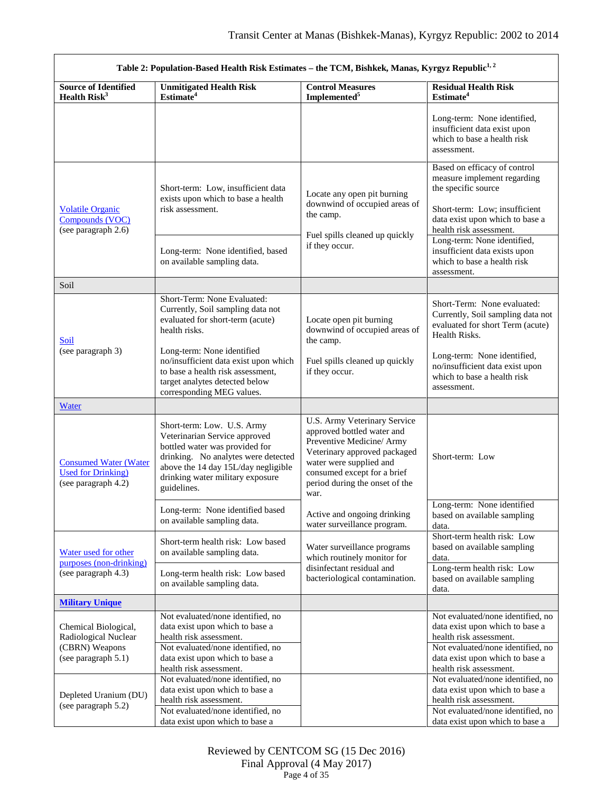<span id="page-3-4"></span><span id="page-3-3"></span><span id="page-3-2"></span><span id="page-3-1"></span><span id="page-3-0"></span>

| Table 2: Population-Based Health Risk Estimates - the TCM, Bishkek, Manas, Kyrgyz Republic <sup>1, 2</sup> |                                                                                                                                                                                                                                |                                                                                                                                                                                                                             |                                                                                                                                                                                                    |
|------------------------------------------------------------------------------------------------------------|--------------------------------------------------------------------------------------------------------------------------------------------------------------------------------------------------------------------------------|-----------------------------------------------------------------------------------------------------------------------------------------------------------------------------------------------------------------------------|----------------------------------------------------------------------------------------------------------------------------------------------------------------------------------------------------|
| <b>Source of Identified</b><br>Health Risk <sup>3</sup>                                                    | <b>Unmitigated Health Risk</b><br>Estimate <sup>4</sup>                                                                                                                                                                        | <b>Control Measures</b><br>Implemented <sup>5</sup>                                                                                                                                                                         | <b>Residual Health Risk</b><br>Estimate <sup>4</sup>                                                                                                                                               |
|                                                                                                            |                                                                                                                                                                                                                                |                                                                                                                                                                                                                             | Long-term: None identified,<br>insufficient data exist upon<br>which to base a health risk<br>assessment.                                                                                          |
| <b>Volatile Organic</b><br>Compounds (VOC)<br>(see paragraph 2.6)                                          | Short-term: Low, insufficient data<br>exists upon which to base a health<br>risk assessment.                                                                                                                                   | Locate any open pit burning<br>downwind of occupied areas of<br>the camp.<br>Fuel spills cleaned up quickly                                                                                                                 | Based on efficacy of control<br>measure implement regarding<br>the specific source<br>Short-term: Low; insufficient<br>data exist upon which to base a<br>health risk assessment.                  |
|                                                                                                            | Long-term: None identified, based<br>on available sampling data.                                                                                                                                                               | if they occur.                                                                                                                                                                                                              | Long-term: None identified,<br>insufficient data exists upon<br>which to base a health risk<br>assessment.                                                                                         |
| Soil                                                                                                       |                                                                                                                                                                                                                                |                                                                                                                                                                                                                             |                                                                                                                                                                                                    |
| Soil                                                                                                       | Short-Term: None Evaluated:<br>Currently, Soil sampling data not<br>evaluated for short-term (acute)<br>health risks.                                                                                                          | Locate open pit burning<br>downwind of occupied areas of<br>the camp.                                                                                                                                                       | Short-Term: None evaluated:<br>Currently, Soil sampling data not<br>evaluated for short Term (acute)<br>Health Risks.                                                                              |
| (see paragraph 3)                                                                                          | Long-term: None identified<br>no/insufficient data exist upon which<br>to base a health risk assessment,<br>target analytes detected below<br>corresponding MEG values.                                                        | Fuel spills cleaned up quickly<br>if they occur.                                                                                                                                                                            | Long-term: None identified,<br>no/insufficient data exist upon<br>which to base a health risk<br>assessment.                                                                                       |
| Water                                                                                                      |                                                                                                                                                                                                                                |                                                                                                                                                                                                                             |                                                                                                                                                                                                    |
| <b>Consumed Water (Water</b><br><b>Used for Drinking</b> )<br>(see paragraph 4.2)                          | Short-term: Low. U.S. Army<br>Veterinarian Service approved<br>bottled water was provided for<br>drinking. No analytes were detected<br>above the 14 day 15L/day negligible<br>drinking water military exposure<br>guidelines. | U.S. Army Veterinary Service<br>approved bottled water and<br>Preventive Medicine/ Army<br>Veterinary approved packaged<br>water were supplied and<br>consumed except for a brief<br>period during the onset of the<br>war. | Short-term: Low                                                                                                                                                                                    |
|                                                                                                            | Long-term: None identified based<br>on available sampling data.                                                                                                                                                                | Active and ongoing drinking<br>water surveillance program.                                                                                                                                                                  | Long-term: None identified<br>based on available sampling<br>data.                                                                                                                                 |
| Water used for other<br>$p$ urposes (non-drinking)<br>(see paragraph 4.3)                                  | Short-term health risk: Low based<br>on available sampling data.                                                                                                                                                               | Water surveillance programs<br>which routinely monitor for                                                                                                                                                                  | Short-term health risk: Low<br>based on available sampling<br>data.                                                                                                                                |
|                                                                                                            | Long-term health risk: Low based<br>on available sampling data.                                                                                                                                                                | disinfectant residual and<br>bacteriological contamination.                                                                                                                                                                 | Long-term health risk: Low<br>based on available sampling<br>data.                                                                                                                                 |
| <b>Military Unique</b>                                                                                     |                                                                                                                                                                                                                                |                                                                                                                                                                                                                             |                                                                                                                                                                                                    |
| Chemical Biological,<br>Radiological Nuclear<br>(CBRN) Weapons<br>(see paragraph 5.1)                      | Not evaluated/none identified, no<br>data exist upon which to base a<br>health risk assessment.<br>Not evaluated/none identified, no<br>data exist upon which to base a<br>health risk assessment.                             |                                                                                                                                                                                                                             | Not evaluated/none identified, no<br>data exist upon which to base a<br>health risk assessment.<br>Not evaluated/none identified, no<br>data exist upon which to base a<br>health risk assessment. |
| Depleted Uranium (DU)<br>(see paragraph 5.2)                                                               | Not evaluated/none identified, no<br>data exist upon which to base a<br>health risk assessment.<br>Not evaluated/none identified, no<br>data exist upon which to base a                                                        |                                                                                                                                                                                                                             | Not evaluated/none identified, no<br>data exist upon which to base a<br>health risk assessment.<br>Not evaluated/none identified, no<br>data exist upon which to base a                            |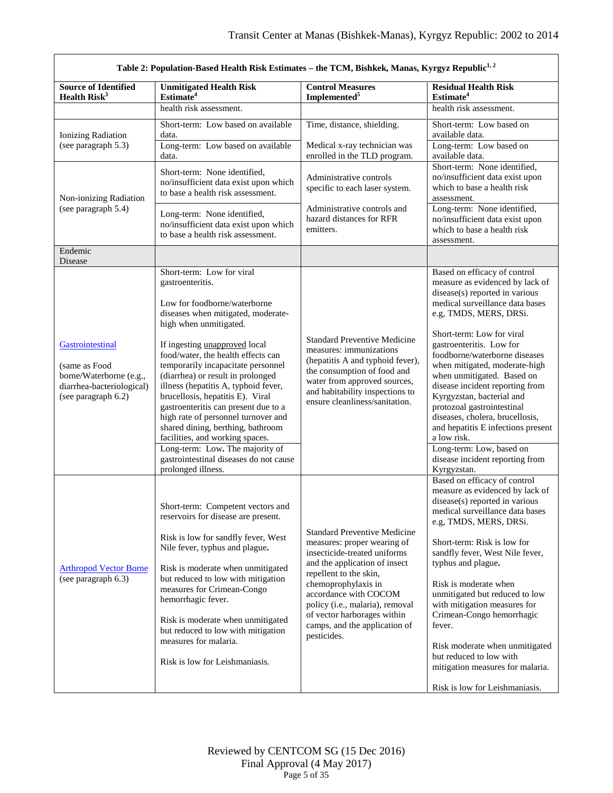<span id="page-4-0"></span>

| Table 2: Population-Based Health Risk Estimates - the TCM, Bishkek, Manas, Kyrgyz Republic <sup>1, 2</sup>       |                                                                                                                                                                                                                                                                                                                                                                                                                                                                                             |                                                                                                                                                                                                                                                                                                                                 |                                                                                                                                                                                                                                                                                                                                                                                                                                                                                                                             |
|------------------------------------------------------------------------------------------------------------------|---------------------------------------------------------------------------------------------------------------------------------------------------------------------------------------------------------------------------------------------------------------------------------------------------------------------------------------------------------------------------------------------------------------------------------------------------------------------------------------------|---------------------------------------------------------------------------------------------------------------------------------------------------------------------------------------------------------------------------------------------------------------------------------------------------------------------------------|-----------------------------------------------------------------------------------------------------------------------------------------------------------------------------------------------------------------------------------------------------------------------------------------------------------------------------------------------------------------------------------------------------------------------------------------------------------------------------------------------------------------------------|
| <b>Source of Identified</b><br>Health $Risk3$                                                                    | <b>Unmitigated Health Risk</b><br>Estimate <sup>4</sup>                                                                                                                                                                                                                                                                                                                                                                                                                                     | <b>Control Measures</b><br>Implemented <sup>5</sup>                                                                                                                                                                                                                                                                             | <b>Residual Health Risk</b><br>Estimate <sup>4</sup>                                                                                                                                                                                                                                                                                                                                                                                                                                                                        |
|                                                                                                                  | health risk assessment.                                                                                                                                                                                                                                                                                                                                                                                                                                                                     |                                                                                                                                                                                                                                                                                                                                 | health risk assessment.                                                                                                                                                                                                                                                                                                                                                                                                                                                                                                     |
| Ionizing Radiation<br>(see paragraph 5.3)                                                                        | Short-term: Low based on available<br>data.                                                                                                                                                                                                                                                                                                                                                                                                                                                 | Time, distance, shielding.                                                                                                                                                                                                                                                                                                      | Short-term: Low based on<br>available data.                                                                                                                                                                                                                                                                                                                                                                                                                                                                                 |
|                                                                                                                  | Long-term: Low based on available<br>data.                                                                                                                                                                                                                                                                                                                                                                                                                                                  | Medical x-ray technician was<br>enrolled in the TLD program.                                                                                                                                                                                                                                                                    | Long-term: Low based on<br>available data.                                                                                                                                                                                                                                                                                                                                                                                                                                                                                  |
| Non-ionizing Radiation                                                                                           | Short-term: None identified,<br>no/insufficient data exist upon which<br>to base a health risk assessment.                                                                                                                                                                                                                                                                                                                                                                                  | Administrative controls<br>specific to each laser system.                                                                                                                                                                                                                                                                       | Short-term: None identified,<br>no/insufficient data exist upon<br>which to base a health risk<br>assessment.                                                                                                                                                                                                                                                                                                                                                                                                               |
| (see paragraph 5.4)                                                                                              | Long-term: None identified,<br>no/insufficient data exist upon which<br>to base a health risk assessment.                                                                                                                                                                                                                                                                                                                                                                                   | Administrative controls and<br>hazard distances for RFR<br>emitters.                                                                                                                                                                                                                                                            | Long-term: None identified,<br>no/insufficient data exist upon<br>which to base a health risk<br>assessment.                                                                                                                                                                                                                                                                                                                                                                                                                |
| Endemic<br>Disease                                                                                               |                                                                                                                                                                                                                                                                                                                                                                                                                                                                                             |                                                                                                                                                                                                                                                                                                                                 |                                                                                                                                                                                                                                                                                                                                                                                                                                                                                                                             |
|                                                                                                                  | Short-term: Low for viral<br>gastroenteritis.<br>Low for foodborne/waterborne<br>diseases when mitigated, moderate-<br>high when unmitigated.                                                                                                                                                                                                                                                                                                                                               |                                                                                                                                                                                                                                                                                                                                 | Based on efficacy of control<br>measure as evidenced by lack of<br>disease(s) reported in various<br>medical surveillance data bases<br>e.g, TMDS, MERS, DRSi.                                                                                                                                                                                                                                                                                                                                                              |
| Gastrointestinal<br>(same as Food<br>borne/Waterborne (e.g.,<br>diarrhea-bacteriological)<br>(see paragraph 6.2) | If ingesting <i>unapproved</i> local<br>food/water, the health effects can<br>temporarily incapacitate personnel<br>(diarrhea) or result in prolonged<br>illness (hepatitis A, typhoid fever,<br>brucellosis, hepatitis E). Viral<br>gastroenteritis can present due to a<br>high rate of personnel turnover and<br>shared dining, berthing, bathroom<br>facilities, and working spaces.<br>Long-term: Low. The majority of<br>gastrointestinal diseases do not cause<br>prolonged illness. | <b>Standard Preventive Medicine</b><br>measures: immunizations<br>(hepatitis A and typhoid fever),<br>the consumption of food and<br>water from approved sources,<br>and habitability inspections to<br>ensure cleanliness/sanitation.                                                                                          | Short-term: Low for viral<br>gastroenteritis. Low for<br>foodborne/waterborne diseases<br>when mitigated, moderate-high<br>when unmitigated. Based on<br>disease incident reporting from<br>Kyrgyzstan, bacterial and<br>protozoal gastrointestinal<br>diseases, cholera, brucellosis,<br>and hepatitis E infections present<br>a low risk.<br>Long-term: Low, based on<br>disease incident reporting from<br>Kyrgyzstan.                                                                                                   |
| <b>Arthropod Vector Borne</b><br>(see paragraph 6.3)                                                             | Short-term: Competent vectors and<br>reservoirs for disease are present.<br>Risk is low for sandfly fever, West<br>Nile fever, typhus and plague.<br>Risk is moderate when unmitigated<br>but reduced to low with mitigation<br>measures for Crimean-Congo<br>hemorrhagic fever.<br>Risk is moderate when unmitigated<br>but reduced to low with mitigation<br>measures for malaria.<br>Risk is low for Leishmaniasis.                                                                      | <b>Standard Preventive Medicine</b><br>measures: proper wearing of<br>insecticide-treated uniforms<br>and the application of insect<br>repellent to the skin,<br>chemoprophylaxis in<br>accordance with COCOM<br>policy (i.e., malaria), removal<br>of vector harborages within<br>camps, and the application of<br>pesticides. | Based on efficacy of control<br>measure as evidenced by lack of<br>disease(s) reported in various<br>medical surveillance data bases<br>e.g, TMDS, MERS, DRSi.<br>Short-term: Risk is low for<br>sandfly fever, West Nile fever,<br>typhus and plague.<br>Risk is moderate when<br>unmitigated but reduced to low<br>with mitigation measures for<br>Crimean-Congo hemorrhagic<br>fever.<br>Risk moderate when unmitigated<br>but reduced to low with<br>mitigation measures for malaria.<br>Risk is low for Leishmaniasis. |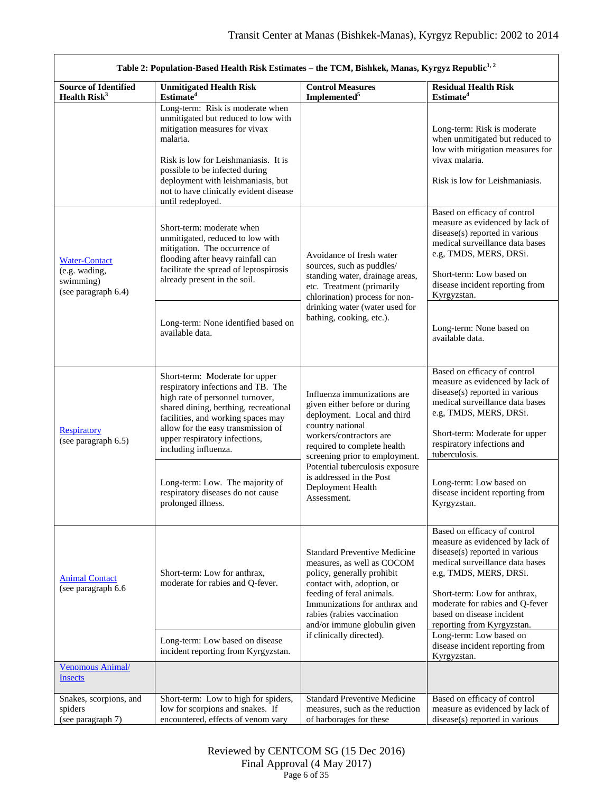<span id="page-5-3"></span><span id="page-5-2"></span><span id="page-5-1"></span><span id="page-5-0"></span>

| Table 2: Population-Based Health Risk Estimates - the TCM, Bishkek, Manas, Kyrgyz Republic <sup>1, 2</sup>                                                                                                                                                                                                                                                                                                                                                                                                                  |                                                                                                                                                                                                                                                                                                     |                                                                                                                                                                                                                                                           |                                                                                                                                                                                                                                                                                              |
|-----------------------------------------------------------------------------------------------------------------------------------------------------------------------------------------------------------------------------------------------------------------------------------------------------------------------------------------------------------------------------------------------------------------------------------------------------------------------------------------------------------------------------|-----------------------------------------------------------------------------------------------------------------------------------------------------------------------------------------------------------------------------------------------------------------------------------------------------|-----------------------------------------------------------------------------------------------------------------------------------------------------------------------------------------------------------------------------------------------------------|----------------------------------------------------------------------------------------------------------------------------------------------------------------------------------------------------------------------------------------------------------------------------------------------|
| <b>Source of Identified</b><br>Health Risk <sup>3</sup>                                                                                                                                                                                                                                                                                                                                                                                                                                                                     | <b>Unmitigated Health Risk</b><br>Estimate <sup>4</sup>                                                                                                                                                                                                                                             | <b>Control Measures</b><br>Implemented <sup>5</sup>                                                                                                                                                                                                       | <b>Residual Health Risk</b><br>Estimate <sup>4</sup>                                                                                                                                                                                                                                         |
|                                                                                                                                                                                                                                                                                                                                                                                                                                                                                                                             | Long-term: Risk is moderate when<br>unmitigated but reduced to low with<br>mitigation measures for vivax<br>malaria.<br>Risk is low for Leishmaniasis. It is<br>possible to be infected during<br>deployment with leishmaniasis, but<br>not to have clinically evident disease<br>until redeployed. |                                                                                                                                                                                                                                                           | Long-term: Risk is moderate<br>when unmitigated but reduced to<br>low with mitigation measures for<br>vivax malaria.<br>Risk is low for Leishmaniasis.                                                                                                                                       |
| <b>Water-Contact</b><br>(e.g. wading,<br>swimming)<br>(see paragraph 6.4)                                                                                                                                                                                                                                                                                                                                                                                                                                                   | Short-term: moderate when<br>unmitigated, reduced to low with<br>mitigation. The occurrence of<br>flooding after heavy rainfall can<br>facilitate the spread of leptospirosis<br>already present in the soil.                                                                                       | Avoidance of fresh water<br>sources, such as puddles/<br>standing water, drainage areas,<br>etc. Treatment (primarily<br>chlorination) process for non-                                                                                                   | Based on efficacy of control<br>measure as evidenced by lack of<br>disease(s) reported in various<br>medical surveillance data bases<br>e.g, TMDS, MERS, DRSi.<br>Short-term: Low based on<br>disease incident reporting from<br>Kyrgyzstan.                                                 |
|                                                                                                                                                                                                                                                                                                                                                                                                                                                                                                                             | Long-term: None identified based on<br>available data.                                                                                                                                                                                                                                              | drinking water (water used for<br>bathing, cooking, etc.).                                                                                                                                                                                                | Long-term: None based on<br>available data.                                                                                                                                                                                                                                                  |
| Short-term: Moderate for upper<br>respiratory infections and TB. The<br>high rate of personnel turnover,<br>shared dining, berthing, recreational<br>facilities, and working spaces may<br>country national<br>allow for the easy transmission of<br><b>Respiratory</b><br>upper respiratory infections,<br>(see paragraph 6.5)<br>including influenza.<br>screening prior to employment.<br>Long-term: Low. The majority of<br>Deployment Health<br>respiratory diseases do not cause<br>Assessment.<br>prolonged illness. | Influenza immunizations are<br>given either before or during<br>deployment. Local and third<br>workers/contractors are<br>required to complete health                                                                                                                                               | Based on efficacy of control<br>measure as evidenced by lack of<br>disease(s) reported in various<br>medical surveillance data bases<br>e.g, TMDS, MERS, DRSi.<br>Short-term: Moderate for upper<br>respiratory infections and<br>tuberculosis.           |                                                                                                                                                                                                                                                                                              |
|                                                                                                                                                                                                                                                                                                                                                                                                                                                                                                                             |                                                                                                                                                                                                                                                                                                     | Potential tuberculosis exposure<br>is addressed in the Post                                                                                                                                                                                               | Long-term: Low based on<br>disease incident reporting from<br>Kyrgyzstan.                                                                                                                                                                                                                    |
| <b>Animal Contact</b><br>(see paragraph 6.6                                                                                                                                                                                                                                                                                                                                                                                                                                                                                 | Short-term: Low for anthrax,<br>moderate for rabies and Q-fever.                                                                                                                                                                                                                                    | <b>Standard Preventive Medicine</b><br>measures, as well as COCOM<br>policy, generally prohibit<br>contact with, adoption, or<br>feeding of feral animals.<br>Immunizations for anthrax and<br>rabies (rabies vaccination<br>and/or immune globulin given | Based on efficacy of control<br>measure as evidenced by lack of<br>disease(s) reported in various<br>medical surveillance data bases<br>e.g, TMDS, MERS, DRSi.<br>Short-term: Low for anthrax,<br>moderate for rabies and Q-fever<br>based on disease incident<br>reporting from Kyrgyzstan. |
|                                                                                                                                                                                                                                                                                                                                                                                                                                                                                                                             | Long-term: Low based on disease<br>incident reporting from Kyrgyzstan.                                                                                                                                                                                                                              | if clinically directed).                                                                                                                                                                                                                                  | Long-term: Low based on<br>disease incident reporting from<br>Kyrgyzstan.                                                                                                                                                                                                                    |
| Venomous Animal/<br><b>Insects</b>                                                                                                                                                                                                                                                                                                                                                                                                                                                                                          |                                                                                                                                                                                                                                                                                                     |                                                                                                                                                                                                                                                           |                                                                                                                                                                                                                                                                                              |
| Snakes, scorpions, and<br>spiders<br>(see paragraph 7)                                                                                                                                                                                                                                                                                                                                                                                                                                                                      | Short-term: Low to high for spiders,<br>low for scorpions and snakes. If<br>encountered, effects of venom vary                                                                                                                                                                                      | <b>Standard Preventive Medicine</b><br>measures, such as the reduction<br>of harborages for these                                                                                                                                                         | Based on efficacy of control<br>measure as evidenced by lack of<br>disease(s) reported in various                                                                                                                                                                                            |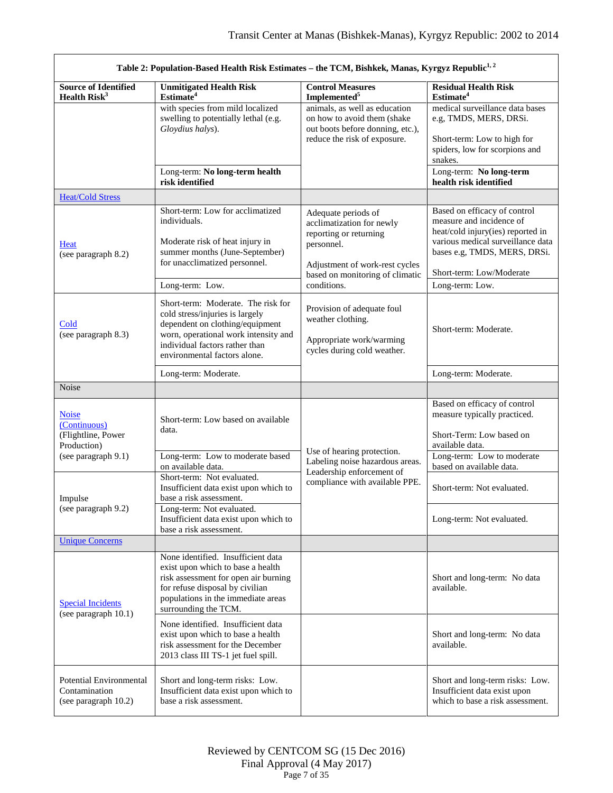| Table 2: Population-Based Health Risk Estimates - the TCM, Bishkek, Manas, Kyrgyz Republic <sup>1, 2</sup> |                                                                                                                                                                                                                    |                                                                                                                                  |                                                                                                                                                                    |
|------------------------------------------------------------------------------------------------------------|--------------------------------------------------------------------------------------------------------------------------------------------------------------------------------------------------------------------|----------------------------------------------------------------------------------------------------------------------------------|--------------------------------------------------------------------------------------------------------------------------------------------------------------------|
| <b>Source of Identified</b><br>Health Risk <sup>3</sup>                                                    | <b>Unmitigated Health Risk</b><br>Estimate <sup>4</sup>                                                                                                                                                            | <b>Control Measures</b><br>Implemented <sup>5</sup>                                                                              | <b>Residual Health Risk</b><br>Estimate <sup>4</sup>                                                                                                               |
|                                                                                                            | with species from mild localized<br>swelling to potentially lethal (e.g.<br>Gloydius halys).                                                                                                                       | animals, as well as education<br>on how to avoid them (shake<br>out boots before donning, etc.),<br>reduce the risk of exposure. | medical surveillance data bases<br>e.g, TMDS, MERS, DRSi.<br>Short-term: Low to high for<br>spiders, low for scorpions and<br>snakes.                              |
|                                                                                                            | Long-term: No long-term health<br>risk identified                                                                                                                                                                  |                                                                                                                                  | Long-term: No long-term<br>health risk identified                                                                                                                  |
| <b>Heat/Cold Stress</b>                                                                                    |                                                                                                                                                                                                                    |                                                                                                                                  |                                                                                                                                                                    |
| <b>Heat</b><br>(see paragraph 8.2)                                                                         | Short-term: Low for acclimatized<br>individuals.<br>Moderate risk of heat injury in<br>summer months (June-September)<br>for unacclimatized personnel.                                                             | Adequate periods of<br>acclimatization for newly<br>reporting or returning<br>personnel.                                         | Based on efficacy of control<br>measure and incidence of<br>heat/cold injury(ies) reported in<br>various medical surveillance data<br>bases e.g, TMDS, MERS, DRSi. |
|                                                                                                            |                                                                                                                                                                                                                    | Adjustment of work-rest cycles<br>based on monitoring of climatic                                                                | Short-term: Low/Moderate                                                                                                                                           |
|                                                                                                            | Long-term: Low.                                                                                                                                                                                                    | conditions.                                                                                                                      | Long-term: Low.                                                                                                                                                    |
| Cold<br>(see paragraph 8.3)                                                                                | Short-term: Moderate. The risk for<br>cold stress/injuries is largely<br>dependent on clothing/equipment<br>worn, operational work intensity and<br>individual factors rather than<br>environmental factors alone. | Provision of adequate foul<br>weather clothing.<br>Appropriate work/warming<br>cycles during cold weather.                       | Short-term: Moderate.                                                                                                                                              |
|                                                                                                            | Long-term: Moderate.                                                                                                                                                                                               |                                                                                                                                  | Long-term: Moderate.                                                                                                                                               |
| <b>Noise</b>                                                                                               |                                                                                                                                                                                                                    |                                                                                                                                  |                                                                                                                                                                    |
| <b>Noise</b><br>(Continuous)<br>(Flightline, Power<br>Production)                                          | Short-term: Low based on available<br>data.                                                                                                                                                                        | Use of hearing protection.                                                                                                       | Based on efficacy of control<br>measure typically practiced.<br>Short-Term: Low based on<br>available data.                                                        |
| (see paragraph 9.1)                                                                                        | Long-term: Low to moderate based<br>on available data.                                                                                                                                                             | Labeling noise hazardous areas.                                                                                                  | Long-term: Low to moderate<br>based on available data.                                                                                                             |
| Impulse<br>(see paragraph 9.2)                                                                             | Short-term: Not evaluated.<br>Insufficient data exist upon which to<br>base a risk assessment.                                                                                                                     | Leadership enforcement of<br>compliance with available PPE.                                                                      | Short-term: Not evaluated.                                                                                                                                         |
|                                                                                                            | Long-term: Not evaluated.<br>Insufficient data exist upon which to<br>base a risk assessment.                                                                                                                      |                                                                                                                                  | Long-term: Not evaluated.                                                                                                                                          |
| <b>Unique Concerns</b>                                                                                     |                                                                                                                                                                                                                    |                                                                                                                                  |                                                                                                                                                                    |
| <b>Special Incidents</b><br>(see paragraph 10.1)                                                           | None identified. Insufficient data<br>exist upon which to base a health<br>risk assessment for open air burning<br>for refuse disposal by civilian<br>populations in the immediate areas<br>surrounding the TCM.   |                                                                                                                                  | Short and long-term: No data<br>available.                                                                                                                         |
|                                                                                                            | None identified. Insufficient data<br>exist upon which to base a health<br>risk assessment for the December<br>2013 class III TS-1 jet fuel spill.                                                                 |                                                                                                                                  | Short and long-term: No data<br>available.                                                                                                                         |
| Potential Environmental<br>Contamination<br>(see paragraph 10.2)                                           | Short and long-term risks: Low.<br>Insufficient data exist upon which to<br>base a risk assessment.                                                                                                                |                                                                                                                                  | Short and long-term risks: Low.<br>Insufficient data exist upon<br>which to base a risk assessment.                                                                |

<span id="page-6-3"></span><span id="page-6-2"></span><span id="page-6-1"></span><span id="page-6-0"></span> $\Gamma$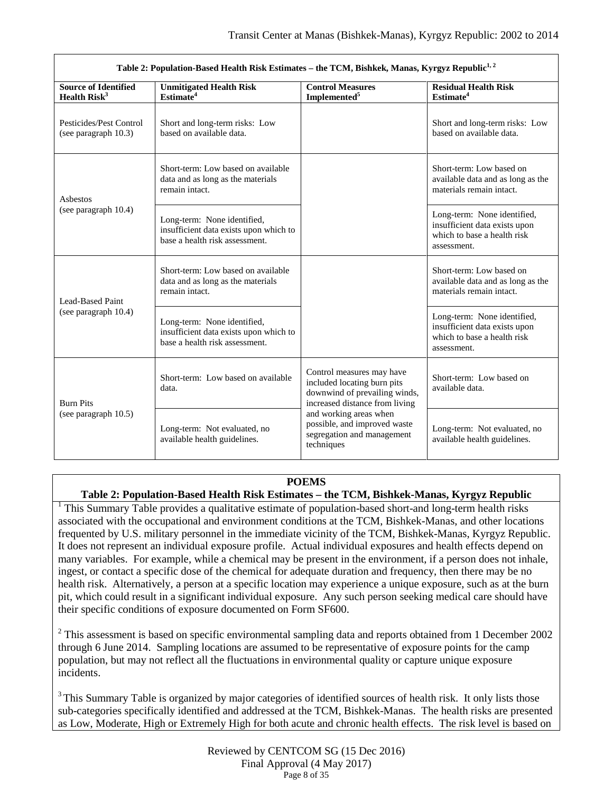| Table 2: Population-Based Health Risk Estimates - the TCM, Bishkek, Manas, Kyrgyz Republic <sup>1, 2</sup> |                                                                                                         |                                                                                                                             |                                                                                                            |
|------------------------------------------------------------------------------------------------------------|---------------------------------------------------------------------------------------------------------|-----------------------------------------------------------------------------------------------------------------------------|------------------------------------------------------------------------------------------------------------|
| <b>Source of Identified</b><br><b>Health Risk<sup>3</sup></b>                                              | <b>Unmitigated Health Risk</b><br>Estimate <sup>4</sup>                                                 | <b>Control Measures</b><br>Implemented <sup>5</sup>                                                                         | <b>Residual Health Risk</b><br>Estimate <sup>4</sup>                                                       |
| Pesticides/Pest Control<br>(see paragraph 10.3)                                                            | Short and long-term risks: Low<br>based on available data.                                              |                                                                                                                             | Short and long-term risks: Low<br>based on available data.                                                 |
| Asbestos                                                                                                   | Short-term: Low based on available<br>data and as long as the materials<br>remain intact.               |                                                                                                                             | Short-term: Low based on<br>available data and as long as the<br>materials remain intact.                  |
| (see paragraph 10.4)                                                                                       | Long-term: None identified,<br>insufficient data exists upon which to<br>base a health risk assessment. |                                                                                                                             | Long-term: None identified,<br>insufficient data exists upon<br>which to base a health risk<br>assessment. |
| Lead-Based Paint                                                                                           | Short-term: Low based on available<br>data and as long as the materials<br>remain intact.               |                                                                                                                             | Short-term: Low based on<br>available data and as long as the<br>materials remain intact.                  |
| (see paragraph 10.4)                                                                                       | Long-term: None identified,<br>insufficient data exists upon which to<br>base a health risk assessment. |                                                                                                                             | Long-term: None identified,<br>insufficient data exists upon<br>which to base a health risk<br>assessment. |
| <b>Burn Pits</b>                                                                                           | Short-term: Low based on available<br>data.                                                             | Control measures may have<br>included locating burn pits<br>downwind of prevailing winds,<br>increased distance from living | Short-term: Low based on<br>available data.                                                                |
| (see paragraph $10.5$ )                                                                                    | Long-term: Not evaluated, no<br>available health guidelines.                                            | and working areas when<br>possible, and improved waste<br>segregation and management<br>techniques                          | Long-term: Not evaluated, no<br>available health guidelines.                                               |

# **POEMS**

**Table 2: Population-Based Health Risk Estimates – the TCM, Bishkek-Manas, Kyrgyz Republic**

<sup>1</sup> This Summary Table provides a qualitative estimate of population-based short-and long-term health risks associated with the occupational and environment conditions at the TCM, Bishkek-Manas, and other locations frequented by U.S. military personnel in the immediate vicinity of the TCM, Bishkek-Manas, Kyrgyz Republic. It does not represent an individual exposure profile. Actual individual exposures and health effects depend on many variables. For example, while a chemical may be present in the environment, if a person does not inhale, ingest, or contact a specific dose of the chemical for adequate duration and frequency, then there may be no health risk. Alternatively, a person at a specific location may experience a unique exposure, such as at the burn pit, which could result in a significant individual exposure. Any such person seeking medical care should have their specific conditions of exposure documented on Form SF600.

<sup>2</sup> This assessment is based on specific environmental sampling data and reports obtained from 1 December 2002 through 6 June 2014. Sampling locations are assumed to be representative of exposure points for the camp population, but may not reflect all the fluctuations in environmental quality or capture unique exposure incidents.

<sup>3</sup> This Summary Table is organized by major categories of identified sources of health risk. It only lists those sub-categories specifically identified and addressed at the TCM, Bishkek-Manas. The health risks are presented as Low, Moderate, High or Extremely High for both acute and chronic health effects. The risk level is based on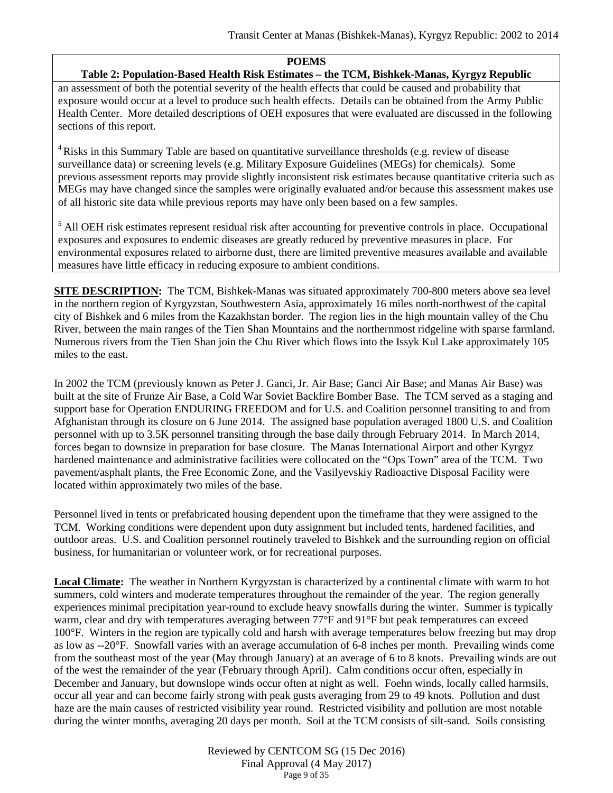#### **POEMS**

### **Table 2: Population-Based Health Risk Estimates – the TCM, Bishkek-Manas, Kyrgyz Republic**

an assessment of both the potential severity of the health effects that could be caused and probability that exposure would occur at a level to produce such health effects. Details can be obtained from the Army Public Health Center. More detailed descriptions of OEH exposures that were evaluated are discussed in the following sections of this report.

<sup>4</sup> Risks in this Summary Table are based on quantitative surveillance thresholds (e.g. review of disease surveillance data) or screening levels (e.g. Military Exposure Guidelines (MEGs) for chemicals*).* Some previous assessment reports may provide slightly inconsistent risk estimates because quantitative criteria such as MEGs may have changed since the samples were originally evaluated and/or because this assessment makes use of all historic site data while previous reports may have only been based on a few samples.

<sup>5</sup> All OEH risk estimates represent residual risk after accounting for preventive controls in place. Occupational exposures and exposures to endemic diseases are greatly reduced by preventive measures in place. For environmental exposures related to airborne dust, there are limited preventive measures available and available measures have little efficacy in reducing exposure to ambient conditions.

**SITE DESCRIPTION:** The TCM, Bishkek-Manas was situated approximately 700-800 meters above sea level in the northern region of Kyrgyzstan, Southwestern Asia, approximately 16 miles north-northwest of the capital city of Bishkek and 6 miles from the Kazakhstan border. The region lies in the high mountain valley of the Chu River, between the main ranges of the Tien Shan Mountains and the northernmost ridgeline with sparse farmland. Numerous rivers from the Tien Shan join the Chu River which flows into the Issyk Kul Lake approximately 105 miles to the east.

In 2002 the TCM (previously known as Peter J. Ganci, Jr. Air Base; Ganci Air Base; and Manas Air Base) was built at the site of Frunze Air Base, a Cold War Soviet Backfire Bomber Base. The TCM served as a staging and support base for Operation ENDURING FREEDOM and for U.S. and Coalition personnel transiting to and from Afghanistan through its closure on 6 June 2014. The assigned base population averaged 1800 U.S. and Coalition personnel with up to 3.5K personnel transiting through the base daily through February 2014. In March 2014, forces began to downsize in preparation for base closure. The Manas International Airport and other Kyrgyz hardened maintenance and administrative facilities were collocated on the "Ops Town" area of the TCM. Two pavement/asphalt plants, the Free Economic Zone, and the Vasilyevskiy Radioactive Disposal Facility were located within approximately two miles of the base.

Personnel lived in tents or prefabricated housing dependent upon the timeframe that they were assigned to the TCM. Working conditions were dependent upon duty assignment but included tents, hardened facilities, and outdoor areas. U.S. and Coalition personnel routinely traveled to Bishkek and the surrounding region on official business, for humanitarian or volunteer work, or for recreational purposes.

**Local Climate:** The weather in Northern Kyrgyzstan is characterized by a continental climate with warm to hot summers, cold winters and moderate temperatures throughout the remainder of the year. The region generally experiences minimal precipitation year-round to exclude heavy snowfalls during the winter. Summer is typically warm, clear and dry with temperatures averaging between 77°F and 91°F but peak temperatures can exceed 100°F. Winters in the region are typically cold and harsh with average temperatures below freezing but may drop as low as --20°F. Snowfall varies with an average accumulation of 6-8 inches per month. Prevailing winds come from the southeast most of the year (May through January) at an average of 6 to 8 knots. Prevailing winds are out of the west the remainder of the year (February through April). Calm conditions occur often, especially in December and January, but downslope winds occur often at night as well. Foehn winds, locally called harmsils, occur all year and can become fairly strong with peak gusts averaging from 29 to 49 knots. Pollution and dust haze are the main causes of restricted visibility year round. Restricted visibility and pollution are most notable during the winter months, averaging 20 days per month. Soil at the TCM consists of silt-sand. Soils consisting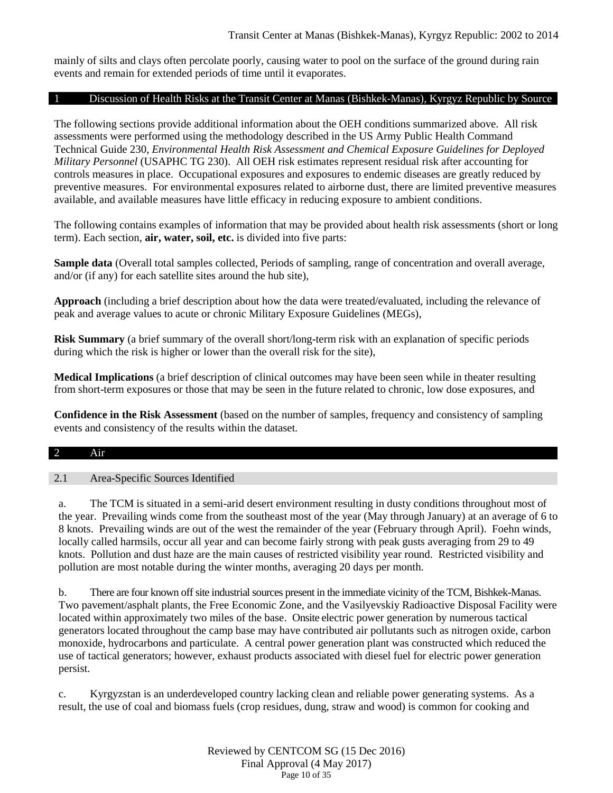mainly of silts and clays often percolate poorly, causing water to pool on the surface of the ground during rain events and remain for extended periods of time until it evaporates.

### 1 Discussion of Health Risks at the Transit Center at Manas (Bishkek-Manas), Kyrgyz Republic by Source

The following sections provide additional information about the OEH conditions summarized above. All risk assessments were performed using the methodology described in the US Army Public Health Command Technical Guide 230, *Environmental Health Risk Assessment and Chemical Exposure Guidelines for Deployed Military Personnel* (USAPHC TG 230). All OEH risk estimates represent residual risk after accounting for controls measures in place. Occupational exposures and exposures to endemic diseases are greatly reduced by preventive measures. For environmental exposures related to airborne dust, there are limited preventive measures available, and available measures have little efficacy in reducing exposure to ambient conditions.

The following contains examples of information that may be provided about health risk assessments (short or long term). Each section, **air, water, soil, etc.** is divided into five parts:

**Sample data** (Overall total samples collected, Periods of sampling, range of concentration and overall average, and/or (if any) for each satellite sites around the hub site),

**Approach** (including a brief description about how the data were treated/evaluated, including the relevance of peak and average values to acute or chronic Military Exposure Guidelines (MEGs),

**Risk Summary** (a brief summary of the overall short/long-term risk with an explanation of specific periods during which the risk is higher or lower than the overall risk for the site),

**Medical Implications** (a brief description of clinical outcomes may have been seen while in theater resulting from short-term exposures or those that may be seen in the future related to chronic, low dose exposures, and

**Confidence in the Risk Assessment** (based on the number of samples, frequency and consistency of sampling events and consistency of the results within the dataset.

### 2 Air

### 2.1 Area-Specific Sources Identified

a. The TCM is situated in a semi-arid desert environment resulting in dusty conditions throughout most of the year. Prevailing winds come from the southeast most of the year (May through January) at an average of 6 to 8 knots. Prevailing winds are out of the west the remainder of the year (February through April). Foehn winds, locally called harmsils, occur all year and can become fairly strong with peak gusts averaging from 29 to 49 knots. Pollution and dust haze are the main causes of restricted visibility year round. Restricted visibility and pollution are most notable during the winter months, averaging 20 days per month.

b. There are four known off site industrial sources present in the immediate vicinity of the TCM, Bishkek-Manas. Two pavement/asphalt plants, the Free Economic Zone, and the Vasilyevskiy Radioactive Disposal Facility were located within approximately two miles of the base. Onsite electric power generation by numerous tactical generators located throughout the camp base may have contributed air pollutants such as nitrogen oxide, carbon monoxide, hydrocarbons and particulate. A central power generation plant was constructed which reduced the use of tactical generators; however, exhaust products associated with diesel fuel for electric power generation persist.

c. Kyrgyzstan is an underdeveloped country lacking clean and reliable power generating systems. As a result, the use of coal and biomass fuels (crop residues, dung, straw and wood) is common for cooking and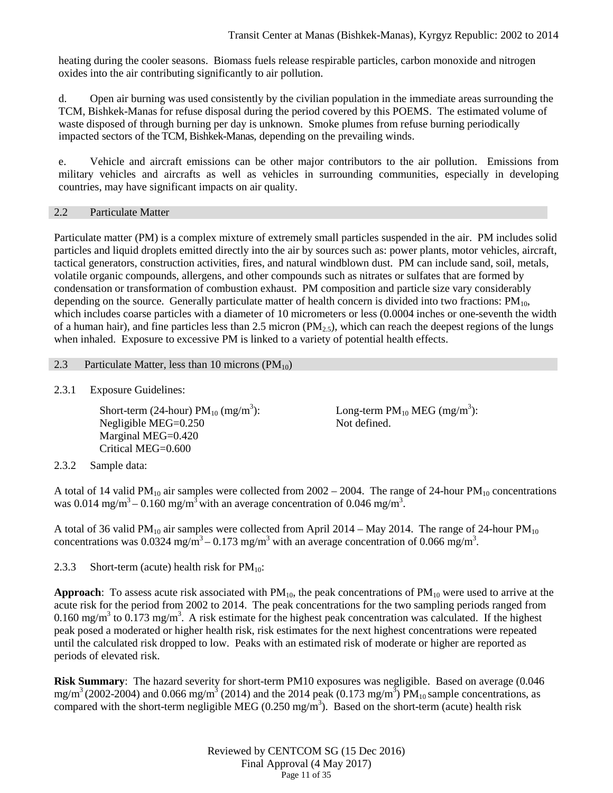heating during the cooler seasons. Biomass fuels release respirable particles, carbon monoxide and nitrogen oxides into the air contributing significantly to air pollution.

d. Open air burning was used consistently by the civilian population in the immediate areas surrounding the TCM, Bishkek-Manas for refuse disposal during the period covered by this POEMS. The estimated volume of waste disposed of through burning per day is unknown. Smoke plumes from refuse burning periodically impacted sectors of the TCM, Bishkek-Manas, depending on the prevailing winds.

e. Vehicle and aircraft emissions can be other major contributors to the air pollution. Emissions from military vehicles and aircrafts as well as vehicles in surrounding communities, especially in developing countries, may have significant impacts on air quality.

### 2.2 Particulate Matter

Particulate matter (PM) is a complex mixture of extremely small particles suspended in the air. PM includes solid particles and liquid droplets emitted directly into the air by sources such as: power plants, motor vehicles, aircraft, tactical generators, construction activities, fires, and natural windblown dust. PM can include sand, soil, metals, volatile organic compounds, allergens, and other compounds such as nitrates or sulfates that are formed by condensation or transformation of combustion exhaust. PM composition and particle size vary considerably depending on the source. Generally particulate matter of health concern is divided into two fractions:  $PM_{10}$ , which includes coarse particles with a diameter of 10 micrometers or less (0.0004 inches or one-seventh the width of a human hair), and fine particles less than 2.5 micron  $(PM_{2.5})$ , which can reach the deepest regions of the lungs when inhaled. Exposure to excessive PM is linked to a variety of potential health effects.

### 2.3 Particulate Matter, less than 10 microns  $(PM_{10})$

2.3.1 Exposure Guidelines:

<span id="page-10-0"></span>Short-term (24-hour)  $PM_{10}$  (mg/m<sup>3</sup>): Negligible MEG=0.250 Marginal MEG=0.420 Critical MEG=0.600

Long-term  $PM_{10}$  MEG (mg/m<sup>3</sup>): Not defined.

2.3.2 Sample data:

A total of 14 valid PM<sub>10</sub> air samples were collected from  $2002 - 2004$ . The range of 24-hour PM<sub>10</sub> concentrations was 0.014 mg/m<sup>3</sup> – 0.160 mg/m<sup>3</sup> with an average concentration of 0.046 mg/m<sup>3</sup>.

A total of 36 valid PM<sub>10</sub> air samples were collected from April 2014 – May 2014. The range of 24-hour PM<sub>10</sub> concentrations was 0.0324 mg/m<sup>3</sup> – 0.173 mg/m<sup>3</sup> with an average concentration of 0.066 mg/m<sup>3</sup>.

2.3.3 Short-term (acute) health risk for  $PM_{10}$ :

**Approach**: To assess acute risk associated with  $PM_{10}$ , the peak concentrations of  $PM_{10}$  were used to arrive at the acute risk for the period from 2002 to 2014. The peak concentrations for the two sampling periods ranged from 0.160 mg/m<sup>3</sup> to 0.173 mg/m<sup>3</sup>. A risk estimate for the highest peak concentration was calculated. If the highest peak posed a moderated or higher health risk, risk estimates for the next highest concentrations were repeated until the calculated risk dropped to low. Peaks with an estimated risk of moderate or higher are reported as periods of elevated risk.

**Risk Summary**: The hazard severity for short-term PM10 exposures was negligible. Based on average (0.046 mg/m<sup>3</sup> (2002-2004) and 0.066 mg/m<sup>3</sup> (2014) and the 2014 peak (0.173 mg/m<sup>3</sup>) PM<sub>10</sub> sample concentrations, as compared with the short-term negligible MEG (0.250 mg/m<sup>3</sup>). Based on the short-term (acute) health risk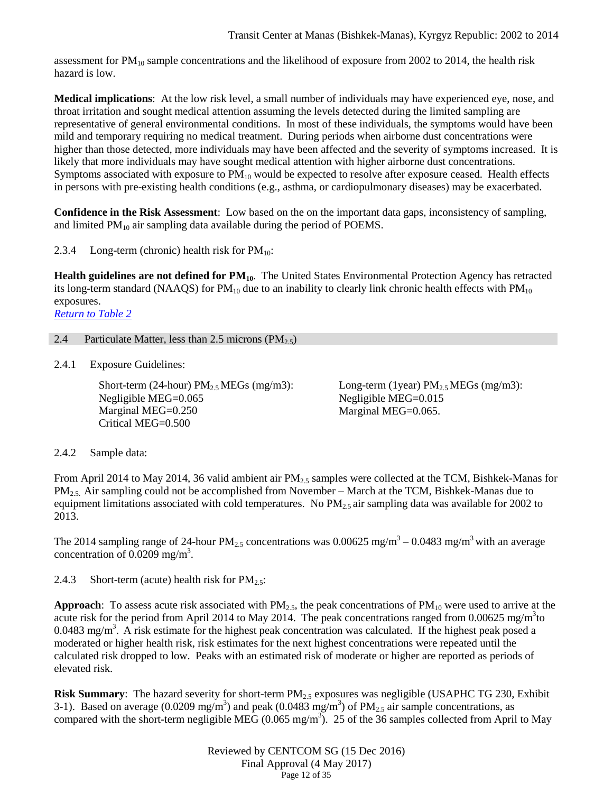assessment for  $PM_{10}$  sample concentrations and the likelihood of exposure from 2002 to 2014, the health risk hazard is low.

**Medical implications**: At the low risk level, a small number of individuals may have experienced eye, nose, and throat irritation and sought medical attention assuming the levels detected during the limited sampling are representative of general environmental conditions. In most of these individuals, the symptoms would have been mild and temporary requiring no medical treatment. During periods when airborne dust concentrations were higher than those detected, more individuals may have been affected and the severity of symptoms increased. It is likely that more individuals may have sought medical attention with higher airborne dust concentrations. Symptoms associated with exposure to  $PM_{10}$  would be expected to resolve after exposure ceased. Health effects in persons with pre-existing health conditions (e.g., asthma, or cardiopulmonary diseases) may be exacerbated.

**Confidence in the Risk Assessment**: Low based on the on the important data gaps, inconsistency of sampling, and limited PM<sub>10</sub> air sampling data available during the period of POEMS.

2.3.4 Long-term (chronic) health risk for  $PM_{10}$ :

**Health guidelines are not defined for PM<sub>10</sub>**. The United States Environmental Protection Agency has retracted its long-term standard (NAAQS) for  $PM_{10}$  due to an inability to clearly link chronic health effects with  $PM_{10}$ exposures.

*[Return to Table 2](#page-2-0)*

#### <span id="page-11-0"></span>2.4 Particulate Matter, less than 2.5 microns  $(PM_{2.5})$

2.4.1 Exposure Guidelines:

Short-term (24-hour)  $PM_{2.5}$  MEGs (mg/m3): Negligible MEG=0.065 Marginal MEG=0.250 Critical MEG=0.500

Long-term (1year)  $PM_{2.5}$  MEGs (mg/m3): Negligible MEG=0.015 Marginal MEG=0.065.

2.4.2 Sample data:

From April 2014 to May 2014, 36 valid ambient air PM<sub>2.5</sub> samples were collected at the TCM, Bishkek-Manas for  $PM_{2.5}$ . Air sampling could not be accomplished from November – March at the TCM, Bishkek-Manas due to equipment limitations associated with cold temperatures. No  $PM_{2.5}$  air sampling data was available for 2002 to 2013.

The 2014 sampling range of 24-hour  $PM_{2.5}$  concentrations was 0.00625 mg/m<sup>3</sup> – 0.0483 mg/m<sup>3</sup> with an average concentration of  $0.0209$  mg/m<sup>3</sup>.

2.4.3 Short-term (acute) health risk for  $PM_{2.5}$ :

**Approach**: To assess acute risk associated with  $PM_{2.5}$ , the peak concentrations of  $PM_{10}$  were used to arrive at the acute risk for the period from April 2014 to May 2014. The peak concentrations ranged from  $0.00625 \text{ mg/m}^3$ to 0.0483 mg/m<sup>3</sup>. A risk estimate for the highest peak concentration was calculated. If the highest peak posed a moderated or higher health risk, risk estimates for the next highest concentrations were repeated until the calculated risk dropped to low. Peaks with an estimated risk of moderate or higher are reported as periods of elevated risk.

**Risk Summary**: The hazard severity for short-term PM<sub>2.5</sub> exposures was negligible (USAPHC TG 230, Exhibit 3-1). Based on average (0.0209 mg/m<sup>3</sup>) and peak (0.0483 mg/m<sup>3</sup>) of PM<sub>2.5</sub> air sample concentrations, as compared with the short-term negligible MEG (0.065 mg/m<sup>3</sup>). 25 of the 36 samples collected from April to May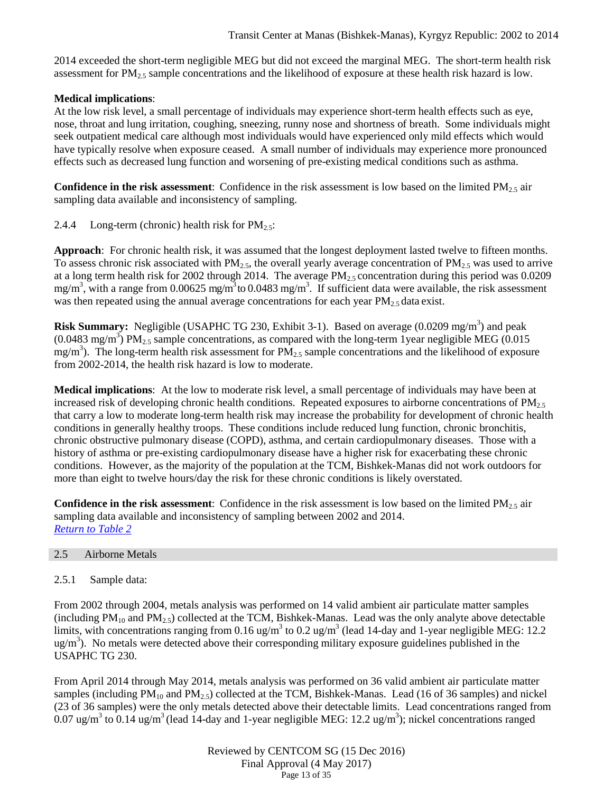2014 exceeded the short-term negligible MEG but did not exceed the marginal MEG. The short-term health risk assessment for  $PM_{2.5}$  sample concentrations and the likelihood of exposure at these health risk hazard is low.

# **Medical implications**:

At the low risk level, a small percentage of individuals may experience short-term health effects such as eye, nose, throat and lung irritation, coughing, sneezing, runny nose and shortness of breath. Some individuals might seek outpatient medical care although most individuals would have experienced only mild effects which would have typically resolve when exposure ceased. A small number of individuals may experience more pronounced effects such as decreased lung function and worsening of pre-existing medical conditions such as asthma.

**Confidence in the risk assessment**: Confidence in the risk assessment is low based on the limited  $PM_{2.5}$  air sampling data available and inconsistency of sampling.

2.4.4 Long-term (chronic) health risk for  $PM_{2.5}$ :

**Approach**: For chronic health risk, it was assumed that the longest deployment lasted twelve to fifteen months. To assess chronic risk associated with  $PM_{2.5}$ , the overall yearly average concentration of  $PM_{2.5}$  was used to arrive at a long term health risk for 2002 through 2014. The average PM<sub>2.5</sub> concentration during this period was 0.0209 mg/m<sup>3</sup>, with a range from 0.00625 mg/m<sup>3</sup> to 0.0483 mg/m<sup>3</sup>. If sufficient data were available, the risk assessment was then repeated using the annual average concentrations for each year  $PM<sub>2.5</sub>$  data exist.

**Risk Summary:** Negligible (USAPHC TG 230, Exhibit 3-1). Based on average (0.0209 mg/m<sup>3</sup>) and peak (0.0483 mg/m<sup>3</sup>) PM<sub>2.5</sub> sample concentrations, as compared with the long-term 1 year negligible MEG (0.015) mg/m<sup>3</sup>). The long-term health risk assessment for  $PM_{2.5}$  sample concentrations and the likelihood of exposure from 2002-2014, the health risk hazard is low to moderate.

**Medical implications**: At the low to moderate risk level, a small percentage of individuals may have been at increased risk of developing chronic health conditions. Repeated exposures to airborne concentrations of  $PM<sub>2.5</sub>$ that carry a low to moderate long-term health risk may increase the probability for development of chronic health conditions in generally healthy troops. These conditions include reduced lung function, chronic bronchitis, chronic obstructive pulmonary disease (COPD), asthma, and certain cardiopulmonary diseases. Those with a history of asthma or pre-existing cardiopulmonary disease have a higher risk for exacerbating these chronic conditions. However, as the majority of the population at the TCM, Bishkek-Manas did not work outdoors for more than eight to twelve hours/day the risk for these chronic conditions is likely overstated.

**Confidence in the risk assessment**: Confidence in the risk assessment is low based on the limited  $PM_{2.5}$  air sampling data available and inconsistency of sampling between 2002 and 2014. *[Return to Table 2](#page-2-0)*

# <span id="page-12-0"></span>2.5 Airborne Metals

# 2.5.1 Sample data:

From 2002 through 2004, metals analysis was performed on 14 valid ambient air particulate matter samples (including  $PM_{10}$  and  $PM_{2.5}$ ) collected at the TCM, Bishkek-Manas. Lead was the only analyte above detectable limits, with concentrations ranging from 0.16 ug/m<sup>3</sup> to 0.2 ug/m<sup>3</sup> (lead 14-day and 1-year negligible MEG: 12.2 ug/m<sup>3</sup>). No metals were detected above their corresponding military exposure guidelines published in the USAPHC TG 230.

From April 2014 through May 2014, metals analysis was performed on 36 valid ambient air particulate matter samples (including  $PM_{10}$  and  $PM_{2.5}$ ) collected at the TCM, Bishkek-Manas. Lead (16 of 36 samples) and nickel (23 of 36 samples) were the only metals detected above their detectable limits. Lead concentrations ranged from 0.07 ug/m<sup>3</sup> to 0.14 ug/m<sup>3</sup> (lead 14-day and 1-year negligible MEG: 12.2 ug/m<sup>3</sup>); nickel concentrations ranged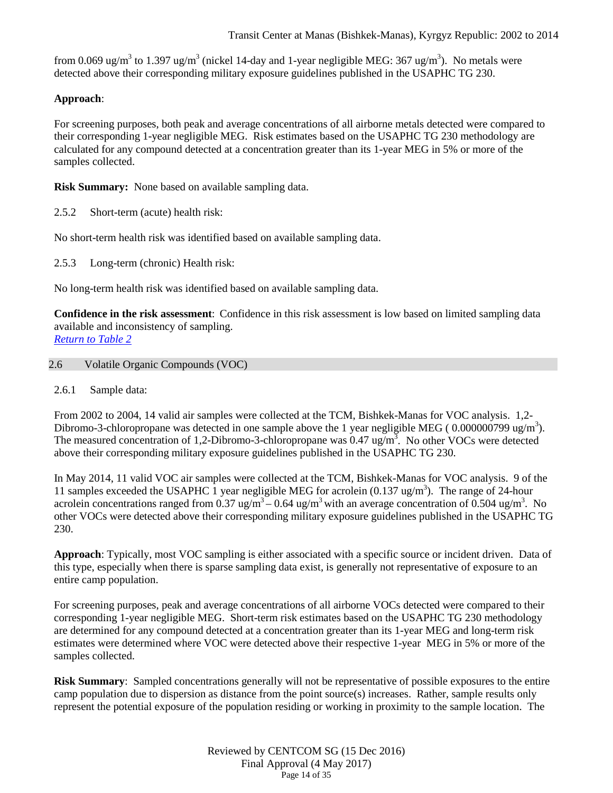from 0.069 ug/m<sup>3</sup> to 1.397 ug/m<sup>3</sup> (nickel 14-day and 1-year negligible MEG: 367 ug/m<sup>3</sup>). No metals were detected above their corresponding military exposure guidelines published in the USAPHC TG 230.

# **Approach**:

For screening purposes, both peak and average concentrations of all airborne metals detected were compared to their corresponding 1-year negligible MEG. Risk estimates based on the USAPHC TG 230 methodology are calculated for any compound detected at a concentration greater than its 1-year MEG in 5% or more of the samples collected.

**Risk Summary:** None based on available sampling data.

2.5.2 Short-term (acute) health risk:

No short-term health risk was identified based on available sampling data.

2.5.3 Long-term (chronic) Health risk:

No long-term health risk was identified based on available sampling data.

**Confidence in the risk assessment**: Confidence in this risk assessment is low based on limited sampling data available and inconsistency of sampling.

*[Return to Table 2](#page-2-1)*

### <span id="page-13-0"></span>2.6 Volatile Organic Compounds (VOC)

2.6.1 Sample data:

From 2002 to 2004, 14 valid air samples were collected at the TCM, Bishkek-Manas for VOC analysis. 1,2- Dibromo-3-chloropropane was detected in one sample above the 1 year negligible MEG (0.000000799 ug/m<sup>3</sup>). The measured concentration of 1,2-Dibromo-3-chloropropane was  $0.47 \text{ ug/m}^3$ . No other VOCs were detected above their corresponding military exposure guidelines published in the USAPHC TG 230.

In May 2014, 11 valid VOC air samples were collected at the TCM, Bishkek-Manas for VOC analysis. 9 of the 11 samples exceeded the USAPHC 1 year negligible MEG for acrolein  $(0.137 \text{ ug/m}^3)$ . The range of 24-hour acrolein concentrations ranged from  $0.37 \text{ ug/m}^3 - 0.64 \text{ ug/m}^3$  with an average concentration of  $0.504 \text{ ug/m}^3$ . No other VOCs were detected above their corresponding military exposure guidelines published in the USAPHC TG 230.

**Approach**: Typically, most VOC sampling is either associated with a specific source or incident driven. Data of this type, especially when there is sparse sampling data exist, is generally not representative of exposure to an entire camp population.

For screening purposes, peak and average concentrations of all airborne VOCs detected were compared to their corresponding 1-year negligible MEG. Short-term risk estimates based on the USAPHC TG 230 methodology are determined for any compound detected at a concentration greater than its 1-year MEG and long-term risk estimates were determined where VOC were detected above their respective 1-year MEG in 5% or more of the samples collected.

**Risk Summary**: Sampled concentrations generally will not be representative of possible exposures to the entire camp population due to dispersion as distance from the point source(s) increases. Rather, sample results only represent the potential exposure of the population residing or working in proximity to the sample location. The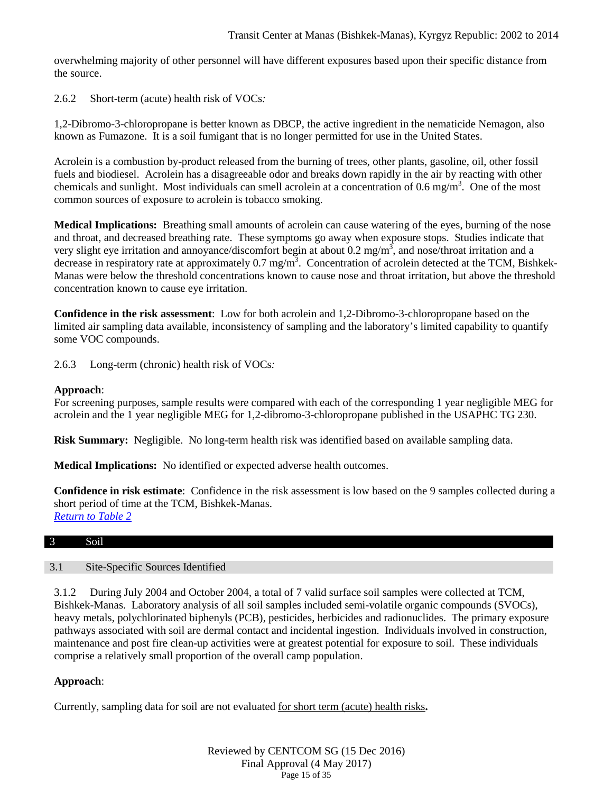overwhelming majority of other personnel will have different exposures based upon their specific distance from the source.

2.6.2 Short-term (acute) health risk of VOCs*:* 

1,2-Dibromo-3-chloropropane is better known as DBCP, the active ingredient in the nematicide Nemagon, also known as Fumazone. It is a soil fumigant that is no longer permitted for use in the United States.

Acrolein is a combustion by-product released from the burning of trees, other plants, gasoline, oil, other fossil fuels and biodiesel. Acrolein has a disagreeable odor and breaks down rapidly in the air by reacting with other chemicals and sunlight. Most individuals can smell acrolein at a concentration of 0.6 mg/m<sup>3</sup>. One of the most common sources of exposure to acrolein is tobacco smoking.

**Medical Implications:** Breathing small amounts of acrolein can cause watering of the eyes, burning of the nose and throat, and decreased breathing rate. These symptoms go away when exposure stops. Studies indicate that very slight eye irritation and annoyance/discomfort begin at about  $0.2 \text{ mg/m}^3$ , and nose/throat irritation and a decrease in respiratory rate at approximately 0.7 mg/m<sup>3</sup>. Concentration of acrolein detected at the TCM, Bishkek-Manas were below the threshold concentrations known to cause nose and throat irritation, but above the threshold concentration known to cause eye irritation.

**Confidence in the risk assessment**: Low for both acrolein and 1,2-Dibromo-3-chloropropane based on the limited air sampling data available, inconsistency of sampling and the laboratory's limited capability to quantify some VOC compounds.

2.6.3 Long-term (chronic) health risk of VOCs*:* 

### **Approach**:

For screening purposes, sample results were compared with each of the corresponding 1 year negligible MEG for acrolein and the 1 year negligible MEG for 1,2-dibromo-3-chloropropane published in the USAPHC TG 230.

**Risk Summary:** Negligible. No long-term health risk was identified based on available sampling data.

**Medical Implications:** No identified or expected adverse health outcomes.

**Confidence in risk estimate**: Confidence in the risk assessment is low based on the 9 samples collected during a short period of time at the TCM, Bishkek-Manas. *[Return to Table 2](#page-3-0)*

### <span id="page-14-0"></span>3 Soil

### 3.1 Site-Specific Sources Identified

3.1.2 During July 2004 and October 2004, a total of 7 valid surface soil samples were collected at TCM, Bishkek-Manas. Laboratory analysis of all soil samples included semi-volatile organic compounds (SVOCs), heavy metals, polychlorinated biphenyls (PCB), pesticides, herbicides and radionuclides. The primary exposure pathways associated with soil are dermal contact and incidental ingestion. Individuals involved in construction, maintenance and post fire clean-up activities were at greatest potential for exposure to soil. These individuals comprise a relatively small proportion of the overall camp population.

### **Approach**:

Currently, sampling data for soil are not evaluated for short term (acute) health risks**.**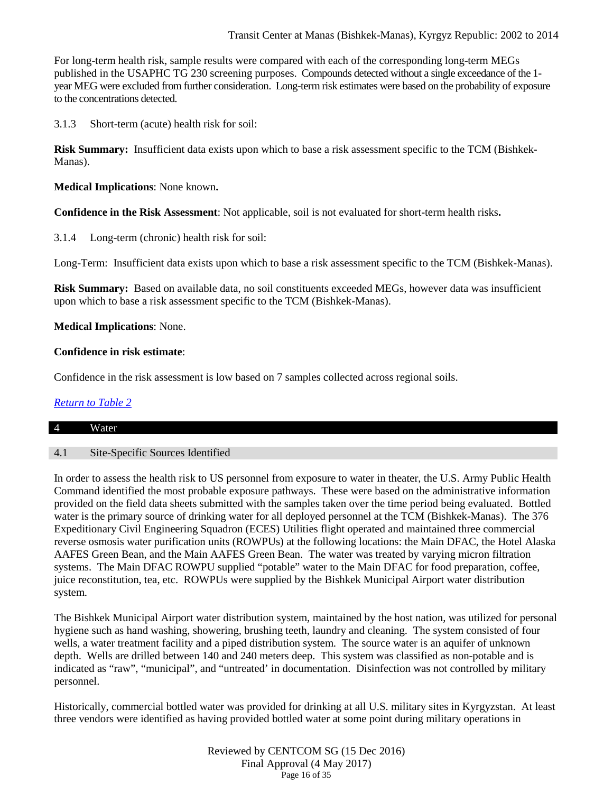### Transit Center at Manas (Bishkek-Manas), Kyrgyz Republic: 2002 to 2014

For long-term health risk, sample results were compared with each of the corresponding long-term MEGs published in the USAPHC TG 230 screening purposes. Compounds detected without a single exceedance of the 1 year MEG were excluded from further consideration. Long-term risk estimates were based on the probability of exposure to the concentrations detected.

3.1.3 Short-term (acute) health risk for soil:

**Risk Summary:** Insufficient data exists upon which to base a risk assessment specific to the TCM (Bishkek-Manas).

**Medical Implications**: None known**.**

**Confidence in the Risk Assessment**: Not applicable, soil is not evaluated for short-term health risks**.**

3.1.4 Long-term (chronic) health risk for soil:

Long-Term: Insufficient data exists upon which to base a risk assessment specific to the TCM (Bishkek-Manas).

**Risk Summary:** Based on available data, no soil constituents exceeded MEGs, however data was insufficient upon which to base a risk assessment specific to the TCM (Bishkek-Manas).

### **Medical Implications**: None.

### **Confidence in risk estimate**:

Confidence in the risk assessment is low based on 7 samples collected across regional soils.

### *[Return to Table 2](#page-3-1)*

#### <span id="page-15-0"></span>4 Water

### 4.1 Site-Specific Sources Identified

In order to assess the health risk to US personnel from exposure to water in theater, the U.S. Army Public Health Command identified the most probable exposure pathways. These were based on the administrative information provided on the field data sheets submitted with the samples taken over the time period being evaluated. Bottled water is the primary source of drinking water for all deployed personnel at the TCM (Bishkek-Manas). The 376 Expeditionary Civil Engineering Squadron (ECES) Utilities flight operated and maintained three commercial reverse osmosis water purification units (ROWPUs) at the following locations: the Main DFAC, the Hotel Alaska AAFES Green Bean, and the Main AAFES Green Bean. The water was treated by varying micron filtration systems. The Main DFAC ROWPU supplied "potable" water to the Main DFAC for food preparation, coffee, juice reconstitution, tea, etc. ROWPUs were supplied by the Bishkek Municipal Airport water distribution system.

The Bishkek Municipal Airport water distribution system, maintained by the host nation, was utilized for personal hygiene such as hand washing, showering, brushing teeth, laundry and cleaning. The system consisted of four wells, a water treatment facility and a piped distribution system. The source water is an aquifer of unknown depth. Wells are drilled between 140 and 240 meters deep. This system was classified as non-potable and is indicated as "raw", "municipal", and "untreated' in documentation. Disinfection was not controlled by military personnel.

Historically, commercial bottled water was provided for drinking at all U.S. military sites in Kyrgyzstan. At least three vendors were identified as having provided bottled water at some point during military operations in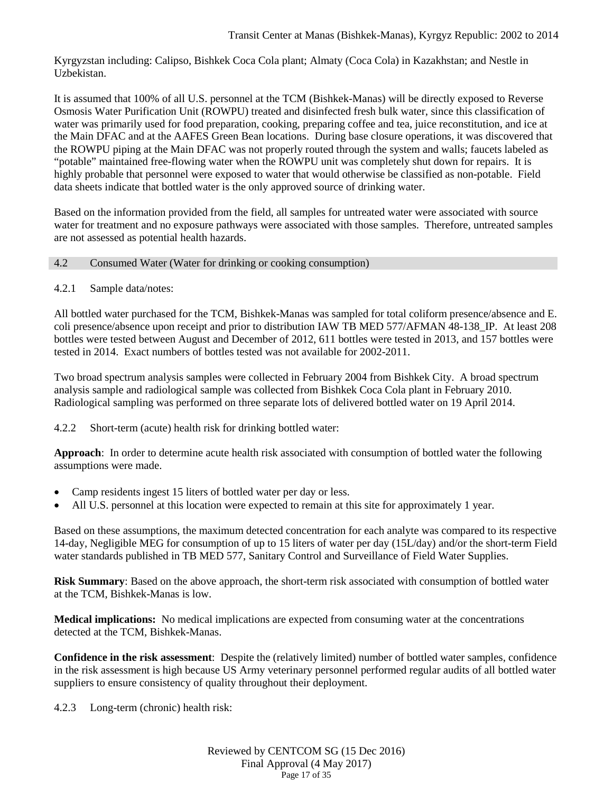Kyrgyzstan including: Calipso, Bishkek Coca Cola plant; Almaty (Coca Cola) in Kazakhstan; and Nestle in Uzbekistan.

It is assumed that 100% of all U.S. personnel at the TCM (Bishkek-Manas) will be directly exposed to Reverse Osmosis Water Purification Unit (ROWPU) treated and disinfected fresh bulk water, since this classification of water was primarily used for food preparation, cooking, preparing coffee and tea, juice reconstitution, and ice at the Main DFAC and at the AAFES Green Bean locations. During base closure operations, it was discovered that the ROWPU piping at the Main DFAC was not properly routed through the system and walls; faucets labeled as "potable" maintained free-flowing water when the ROWPU unit was completely shut down for repairs. It is highly probable that personnel were exposed to water that would otherwise be classified as non-potable. Field data sheets indicate that bottled water is the only approved source of drinking water.

Based on the information provided from the field, all samples for untreated water were associated with source water for treatment and no exposure pathways were associated with those samples. Therefore, untreated samples are not assessed as potential health hazards.

### <span id="page-16-0"></span>4.2 Consumed Water (Water for drinking or cooking consumption)

### 4.2.1 Sample data/notes:

All bottled water purchased for the TCM, Bishkek-Manas was sampled for total coliform presence/absence and E. coli presence/absence upon receipt and prior to distribution IAW TB MED 577/AFMAN 48-138\_IP. At least 208 bottles were tested between August and December of 2012, 611 bottles were tested in 2013, and 157 bottles were tested in 2014. Exact numbers of bottles tested was not available for 2002-2011.

Two broad spectrum analysis samples were collected in February 2004 from Bishkek City. A broad spectrum analysis sample and radiological sample was collected from Bishkek Coca Cola plant in February 2010. Radiological sampling was performed on three separate lots of delivered bottled water on 19 April 2014.

4.2.2 Short-term (acute) health risk for drinking bottled water:

**Approach**: In order to determine acute health risk associated with consumption of bottled water the following assumptions were made.

- Camp residents ingest 15 liters of bottled water per day or less.
- All U.S. personnel at this location were expected to remain at this site for approximately 1 year.

Based on these assumptions, the maximum detected concentration for each analyte was compared to its respective 14-day, Negligible MEG for consumption of up to 15 liters of water per day (15L/day) and/or the short-term Field water standards published in TB MED 577, Sanitary Control and Surveillance of Field Water Supplies.

**Risk Summary**: Based on the above approach, the short-term risk associated with consumption of bottled water at the TCM, Bishkek-Manas is low.

**Medical implications:** No medical implications are expected from consuming water at the concentrations detected at the TCM, Bishkek-Manas.

**Confidence in the risk assessment**: Despite the (relatively limited) number of bottled water samples, confidence in the risk assessment is high because US Army veterinary personnel performed regular audits of all bottled water suppliers to ensure consistency of quality throughout their deployment.

4.2.3 Long-term (chronic) health risk: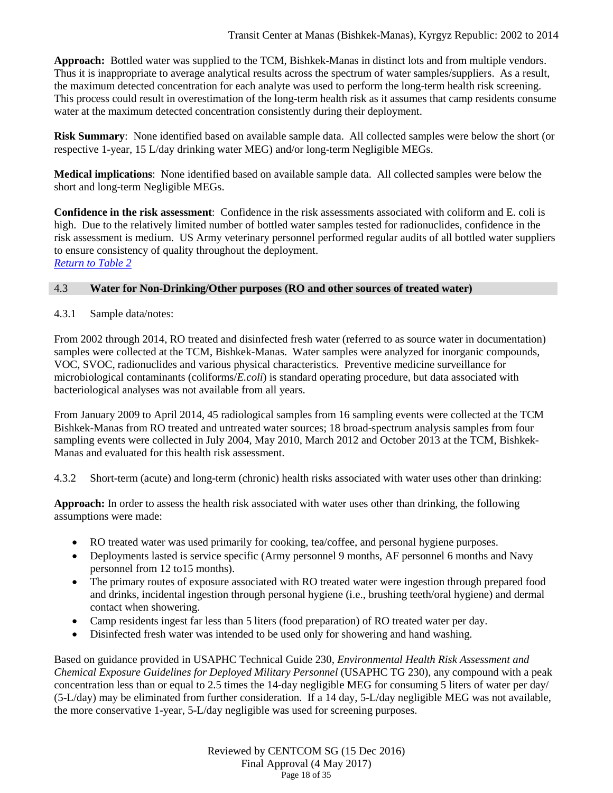**Approach:** Bottled water was supplied to the TCM, Bishkek-Manas in distinct lots and from multiple vendors. Thus it is inappropriate to average analytical results across the spectrum of water samples/suppliers. As a result, the maximum detected concentration for each analyte was used to perform the long-term health risk screening. This process could result in overestimation of the long-term health risk as it assumes that camp residents consume water at the maximum detected concentration consistently during their deployment.

**Risk Summary**: None identified based on available sample data. All collected samples were below the short (or respective 1-year, 15 L/day drinking water MEG) and/or long-term Negligible MEGs.

**Medical implications**: None identified based on available sample data. All collected samples were below the short and long-term Negligible MEGs.

**Confidence in the risk assessment**: Confidence in the risk assessments associated with coliform and E. coli is high. Due to the relatively limited number of bottled water samples tested for radionuclides, confidence in the risk assessment is medium. US Army veterinary personnel performed regular audits of all bottled water suppliers to ensure consistency of quality throughout the deployment. *[Return to Table 2](#page-3-2)*

### <span id="page-17-0"></span>4.3 **Water for Non-Drinking/Other purposes (RO and other sources of treated water)**

### 4.3.1 Sample data/notes:

From 2002 through 2014, RO treated and disinfected fresh water (referred to as source water in documentation) samples were collected at the TCM, Bishkek-Manas. Water samples were analyzed for inorganic compounds, VOC, SVOC, radionuclides and various physical characteristics. Preventive medicine surveillance for microbiological contaminants (coliforms/*E.coli*) is standard operating procedure, but data associated with bacteriological analyses was not available from all years.

From January 2009 to April 2014, 45 radiological samples from 16 sampling events were collected at the TCM Bishkek-Manas from RO treated and untreated water sources; 18 broad-spectrum analysis samples from four sampling events were collected in July 2004, May 2010, March 2012 and October 2013 at the TCM, Bishkek-Manas and evaluated for this health risk assessment.

4.3.2 Short-term (acute) and long-term (chronic) health risks associated with water uses other than drinking:

**Approach:** In order to assess the health risk associated with water uses other than drinking, the following assumptions were made:

- RO treated water was used primarily for cooking, tea/coffee, and personal hygiene purposes.
- Deployments lasted is service specific (Army personnel 9 months, AF personnel 6 months and Navy personnel from 12 to15 months).
- The primary routes of exposure associated with RO treated water were ingestion through prepared food and drinks, incidental ingestion through personal hygiene (i.e., brushing teeth/oral hygiene) and dermal contact when showering.
- Camp residents ingest far less than 5 liters (food preparation) of RO treated water per day.
- Disinfected fresh water was intended to be used only for showering and hand washing.

Based on guidance provided in USAPHC Technical Guide 230, *Environmental Health Risk Assessment and Chemical Exposure Guidelines for Deployed Military Personnel* (USAPHC TG 230), any compound with a peak concentration less than or equal to 2.5 times the 14-day negligible MEG for consuming 5 liters of water per day/ (5-L/day) may be eliminated from further consideration. If a 14 day, 5-L/day negligible MEG was not available, the more conservative 1-year, 5-L/day negligible was used for screening purposes.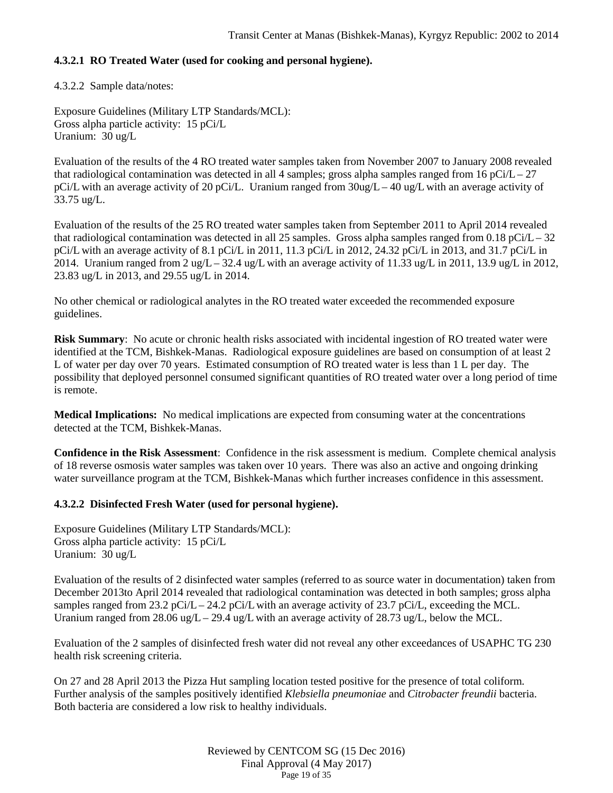# **4.3.2.1 RO Treated Water (used for cooking and personal hygiene).**

4.3.2.2 Sample data/notes:

Exposure Guidelines (Military LTP Standards/MCL): Gross alpha particle activity: 15 pCi/L Uranium: 30 ug/L

Evaluation of the results of the 4 RO treated water samples taken from November 2007 to January 2008 revealed that radiological contamination was detected in all 4 samples; gross alpha samples ranged from 16 pCi/L – 27 pCi/L with an average activity of 20 pCi/L. Uranium ranged from 30ug/L – 40 ug/L with an average activity of 33.75 ug/L.

Evaluation of the results of the 25 RO treated water samples taken from September 2011 to April 2014 revealed that radiological contamination was detected in all 25 samples. Gross alpha samples ranged from 0.18 pCi/L – 32 pCi/L with an average activity of 8.1 pCi/L in 2011, 11.3 pCi/L in 2012, 24.32 pCi/L in 2013, and 31.7 pCi/L in 2014. Uranium ranged from 2 ug/L – 32.4 ug/L with an average activity of 11.33 ug/L in 2011, 13.9 ug/L in 2012, 23.83 ug/L in 2013, and 29.55 ug/L in 2014.

No other chemical or radiological analytes in the RO treated water exceeded the recommended exposure guidelines.

**Risk Summary**: No acute or chronic health risks associated with incidental ingestion of RO treated water were identified at the TCM, Bishkek-Manas. Radiological exposure guidelines are based on consumption of at least 2 L of water per day over 70 years. Estimated consumption of RO treated water is less than 1 L per day. The possibility that deployed personnel consumed significant quantities of RO treated water over a long period of time is remote.

**Medical Implications:** No medical implications are expected from consuming water at the concentrations detected at the TCM, Bishkek-Manas.

**Confidence in the Risk Assessment**: Confidence in the risk assessment is medium. Complete chemical analysis of 18 reverse osmosis water samples was taken over 10 years. There was also an active and ongoing drinking water surveillance program at the TCM, Bishkek-Manas which further increases confidence in this assessment.

### **4.3.2.2 Disinfected Fresh Water (used for personal hygiene).**

Exposure Guidelines (Military LTP Standards/MCL): Gross alpha particle activity: 15 pCi/L Uranium: 30 ug/L

Evaluation of the results of 2 disinfected water samples (referred to as source water in documentation) taken from December 2013to April 2014 revealed that radiological contamination was detected in both samples; gross alpha samples ranged from 23.2 pCi/L – 24.2 pCi/L with an average activity of 23.7 pCi/L, exceeding the MCL. Uranium ranged from 28.06 ug/L – 29.4 ug/L with an average activity of 28.73 ug/L, below the MCL.

Evaluation of the 2 samples of disinfected fresh water did not reveal any other exceedances of USAPHC TG 230 health risk screening criteria.

On 27 and 28 April 2013 the Pizza Hut sampling location tested positive for the presence of total coliform. Further analysis of the samples positively identified *Klebsiella pneumoniae* and *Citrobacter freundii* bacteria. Both bacteria are considered a low risk to healthy individuals.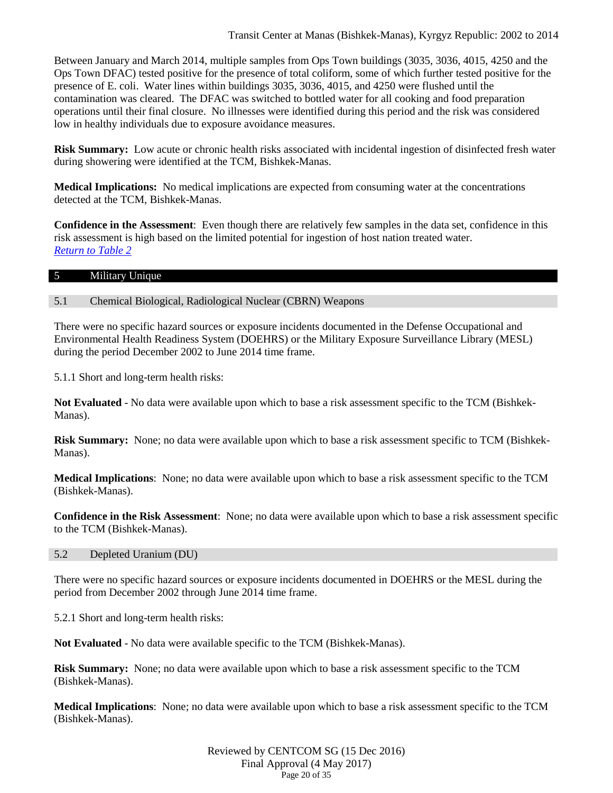Between January and March 2014, multiple samples from Ops Town buildings (3035, 3036, 4015, 4250 and the Ops Town DFAC) tested positive for the presence of total coliform, some of which further tested positive for the presence of E. coli. Water lines within buildings 3035, 3036, 4015, and 4250 were flushed until the contamination was cleared. The DFAC was switched to bottled water for all cooking and food preparation operations until their final closure. No illnesses were identified during this period and the risk was considered low in healthy individuals due to exposure avoidance measures.

**Risk Summary:** Low acute or chronic health risks associated with incidental ingestion of disinfected fresh water during showering were identified at the TCM, Bishkek-Manas.

**Medical Implications:** No medical implications are expected from consuming water at the concentrations detected at the TCM, Bishkek-Manas.

**Confidence in the Assessment**: Even though there are relatively few samples in the data set, confidence in this risk assessment is high based on the limited potential for ingestion of host nation treated water. *[Return to Table 2](#page-3-3)*

#### <span id="page-19-0"></span>5 Military Unique

#### 5.1 Chemical Biological, Radiological Nuclear (CBRN) Weapons

There were no specific hazard sources or exposure incidents documented in the Defense Occupational and Environmental Health Readiness System (DOEHRS) or the Military Exposure Surveillance Library (MESL) during the period December 2002 to June 2014 time frame.

5.1.1 Short and long-term health risks:

**Not Evaluated** - No data were available upon which to base a risk assessment specific to the TCM (Bishkek-Manas).

**Risk Summary:** None; no data were available upon which to base a risk assessment specific to TCM (Bishkek-Manas).

**Medical Implications**: None; no data were available upon which to base a risk assessment specific to the TCM (Bishkek-Manas).

**Confidence in the Risk Assessment**: None; no data were available upon which to base a risk assessment specific to the TCM (Bishkek-Manas).

#### 5.2 Depleted Uranium (DU)

There were no specific hazard sources or exposure incidents documented in DOEHRS or the MESL during the period from December 2002 through June 2014 time frame.

5.2.1 Short and long-term health risks:

**Not Evaluated** - No data were available specific to the TCM (Bishkek-Manas).

**Risk Summary:** None; no data were available upon which to base a risk assessment specific to the TCM (Bishkek-Manas).

**Medical Implications**: None; no data were available upon which to base a risk assessment specific to the TCM (Bishkek-Manas).

> Reviewed by CENTCOM SG (15 Dec 2016) Final Approval (4 May 2017) Page 20 of 35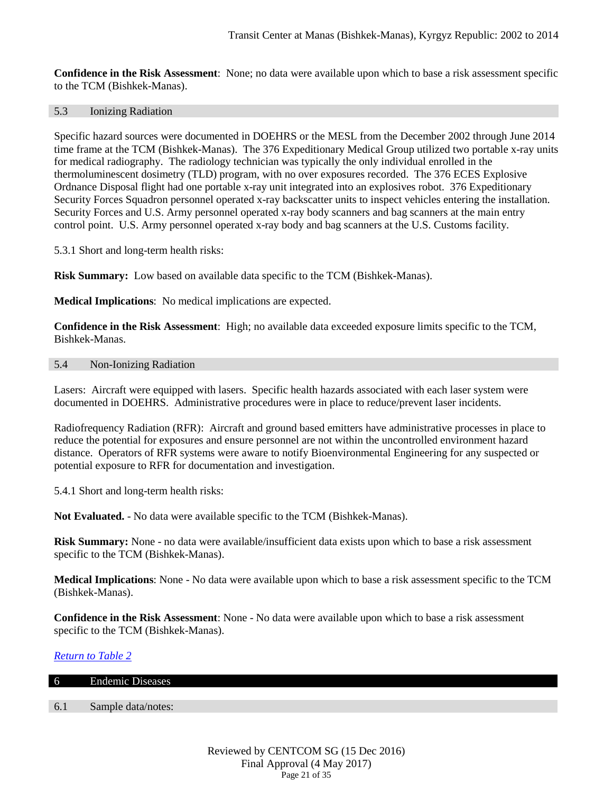**Confidence in the Risk Assessment**: None; no data were available upon which to base a risk assessment specific to the TCM (Bishkek-Manas).

#### 5.3 Ionizing Radiation

Specific hazard sources were documented in DOEHRS or the MESL from the December 2002 through June 2014 time frame at the TCM (Bishkek-Manas). The 376 Expeditionary Medical Group utilized two portable x-ray units for medical radiography. The radiology technician was typically the only individual enrolled in the thermoluminescent dosimetry (TLD) program, with no over exposures recorded. The 376 ECES Explosive Ordnance Disposal flight had one portable x-ray unit integrated into an explosives robot. 376 Expeditionary Security Forces Squadron personnel operated x-ray backscatter units to inspect vehicles entering the installation. Security Forces and U.S. Army personnel operated x-ray body scanners and bag scanners at the main entry control point. U.S. Army personnel operated x-ray body and bag scanners at the U.S. Customs facility.

5.3.1 Short and long-term health risks:

**Risk Summary:** Low based on available data specific to the TCM (Bishkek-Manas).

**Medical Implications**: No medical implications are expected.

**Confidence in the Risk Assessment**: High; no available data exceeded exposure limits specific to the TCM, Bishkek-Manas.

# 5.4 Non-Ionizing Radiation

Lasers: Aircraft were equipped with lasers. Specific health hazards associated with each laser system were documented in DOEHRS. Administrative procedures were in place to reduce/prevent laser incidents.

Radiofrequency Radiation (RFR): Aircraft and ground based emitters have administrative processes in place to reduce the potential for exposures and ensure personnel are not within the uncontrolled environment hazard distance. Operators of RFR systems were aware to notify Bioenvironmental Engineering for any suspected or potential exposure to RFR for documentation and investigation.

5.4.1 Short and long-term health risks:

**Not Evaluated.** - No data were available specific to the TCM (Bishkek-Manas).

**Risk Summary:** None - no data were available/insufficient data exists upon which to base a risk assessment specific to the TCM (Bishkek-Manas).

**Medical Implications**: None - No data were available upon which to base a risk assessment specific to the TCM (Bishkek-Manas).

**Confidence in the Risk Assessment**: None - No data were available upon which to base a risk assessment specific to the TCM (Bishkek-Manas).

# *[Return to Table 2](#page-3-4)*

| 6   | <b>Endemic Diseases</b> |
|-----|-------------------------|
|     |                         |
| 6.1 | Sample data/notes:      |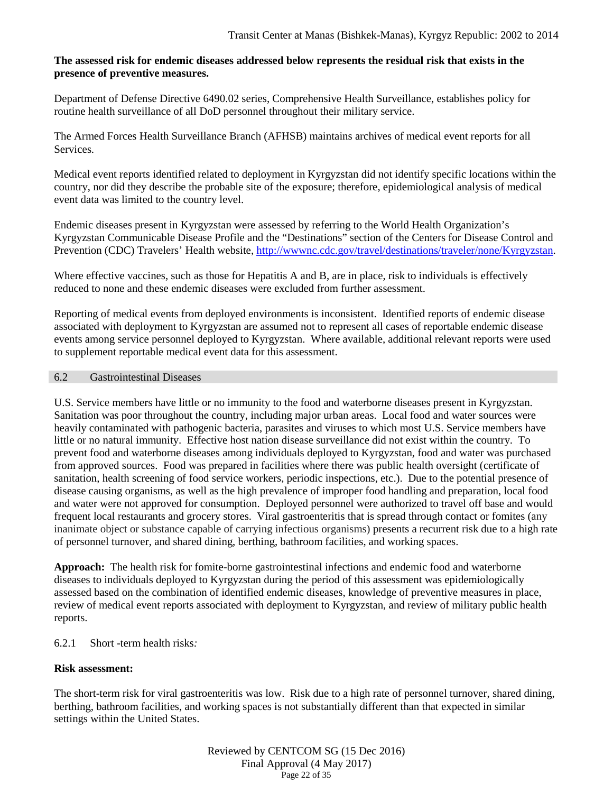### **The assessed risk for endemic diseases addressed below represents the residual risk that exists in the presence of preventive measures.**

Department of Defense Directive 6490.02 series, Comprehensive Health Surveillance, establishes policy for routine health surveillance of all DoD personnel throughout their military service.

The Armed Forces Health Surveillance Branch (AFHSB) maintains archives of medical event reports for all **Services** 

Medical event reports identified related to deployment in Kyrgyzstan did not identify specific locations within the country, nor did they describe the probable site of the exposure; therefore, epidemiological analysis of medical event data was limited to the country level.

Endemic diseases present in Kyrgyzstan were assessed by referring to the World Health Organization's Kyrgyzstan Communicable Disease Profile and the "Destinations" section of the Centers for Disease Control and Prevention (CDC) Travelers' Health website, [http://wwwnc.cdc.gov/travel/destinations/traveler/none/Kyrgyzstan.](http://wwwnc.cdc.gov/travel/destinations/traveler/none/Kyrgyzstan)

Where effective vaccines, such as those for Hepatitis A and B, are in place, risk to individuals is effectively reduced to none and these endemic diseases were excluded from further assessment.

Reporting of medical events from deployed environments is inconsistent. Identified reports of endemic disease associated with deployment to Kyrgyzstan are assumed not to represent all cases of reportable endemic disease events among service personnel deployed to Kyrgyzstan. Where available, additional relevant reports were used to supplement reportable medical event data for this assessment.

#### <span id="page-21-0"></span>6.2 Gastrointestinal Diseases

U.S. Service members have little or no immunity to the food and waterborne diseases present in Kyrgyzstan. Sanitation was poor throughout the country, including major urban areas. Local food and water sources were heavily contaminated with pathogenic bacteria, parasites and viruses to which most U.S. Service members have little or no natural immunity. Effective host nation disease surveillance did not exist within the country. To prevent food and waterborne diseases among individuals deployed to Kyrgyzstan, food and water was purchased from approved sources. Food was prepared in facilities where there was public health oversight (certificate of sanitation, health screening of food service workers, periodic inspections, etc.). Due to the potential presence of disease causing organisms, as well as the high prevalence of improper food handling and preparation, local food and water were not approved for consumption. Deployed personnel were authorized to travel off base and would frequent local restaurants and grocery stores. Viral gastroenteritis that is spread through contact or fomites (any inanimate object or substance capable of carrying infectious organisms) presents a recurrent risk due to a high rate of personnel turnover, and shared dining, berthing, bathroom facilities, and working spaces.

**Approach:** The health risk for fomite-borne gastrointestinal infections and endemic food and waterborne diseases to individuals deployed to Kyrgyzstan during the period of this assessment was epidemiologically assessed based on the combination of identified endemic diseases, knowledge of preventive measures in place, review of medical event reports associated with deployment to Kyrgyzstan, and review of military public health reports.

### 6.2.1 Short -term health risks*:*

### **Risk assessment:**

The short-term risk for viral gastroenteritis was low. Risk due to a high rate of personnel turnover, shared dining, berthing, bathroom facilities, and working spaces is not substantially different than that expected in similar settings within the United States.

> Reviewed by CENTCOM SG (15 Dec 2016) Final Approval (4 May 2017) Page 22 of 35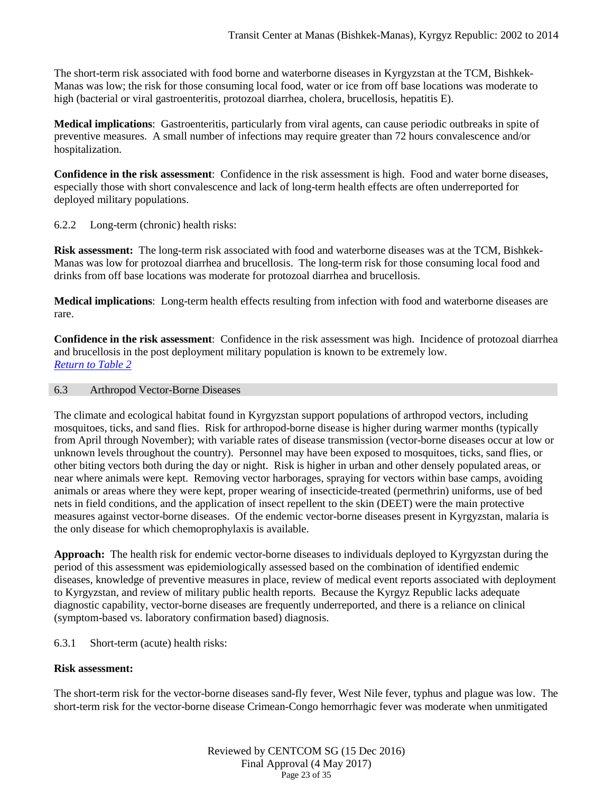The short-term risk associated with food borne and waterborne diseases in Kyrgyzstan at the TCM, Bishkek-Manas was low; the risk for those consuming local food, water or ice from off base locations was moderate to high (bacterial or viral gastroenteritis, protozoal diarrhea, cholera, brucellosis, hepatitis E).

**Medical implications**: Gastroenteritis, particularly from viral agents, can cause periodic outbreaks in spite of preventive measures. A small number of infections may require greater than 72 hours convalescence and/or hospitalization.

**Confidence in the risk assessment**: Confidence in the risk assessment is high. Food and water borne diseases, especially those with short convalescence and lack of long-term health effects are often underreported for deployed military populations.

### 6.2.2 Long-term (chronic) health risks:

**Risk assessment:** The long-term risk associated with food and waterborne diseases was at the TCM, Bishkek-Manas was low for protozoal diarrhea and brucellosis. The long-term risk for those consuming local food and drinks from off base locations was moderate for protozoal diarrhea and brucellosis.

**Medical implications**: Long-term health effects resulting from infection with food and waterborne diseases are rare.

**Confidence in the risk assessment**: Confidence in the risk assessment was high. Incidence of protozoal diarrhea and brucellosis in the post deployment military population is known to be extremely low. *[Return to Table 2](#page-4-0)*

### <span id="page-22-0"></span>6.3 Arthropod Vector-Borne Diseases

The climate and ecological habitat found in Kyrgyzstan support populations of arthropod vectors, including mosquitoes, ticks, and sand flies. Risk for arthropod-borne disease is higher during warmer months (typically from April through November); with variable rates of disease transmission (vector-borne diseases occur at low or unknown levels throughout the country). Personnel may have been exposed to mosquitoes, ticks, sand flies, or other biting vectors both during the day or night. Risk is higher in urban and other densely populated areas, or near where animals were kept. Removing vector harborages, spraying for vectors within base camps, avoiding animals or areas where they were kept, proper wearing of insecticide-treated (permethrin) uniforms, use of bed nets in field conditions, and the application of insect repellent to the skin (DEET) were the main protective measures against vector-borne diseases. Of the endemic vector-borne diseases present in Kyrgyzstan, malaria is the only disease for which chemoprophylaxis is available.

**Approach:** The health risk for endemic vector-borne diseases to individuals deployed to Kyrgyzstan during the period of this assessment was epidemiologically assessed based on the combination of identified endemic diseases, knowledge of preventive measures in place, review of medical event reports associated with deployment to Kyrgyzstan, and review of military public health reports. Because the Kyrgyz Republic lacks adequate diagnostic capability, vector-borne diseases are frequently underreported, and there is a reliance on clinical (symptom-based vs. laboratory confirmation based) diagnosis.

### 6.3.1 Short-term (acute) health risks:

### **Risk assessment:**

The short-term risk for the vector-borne diseases sand-fly fever, West Nile fever, typhus and plague was low. The short-term risk for the vector-borne disease Crimean-Congo hemorrhagic fever was moderate when unmitigated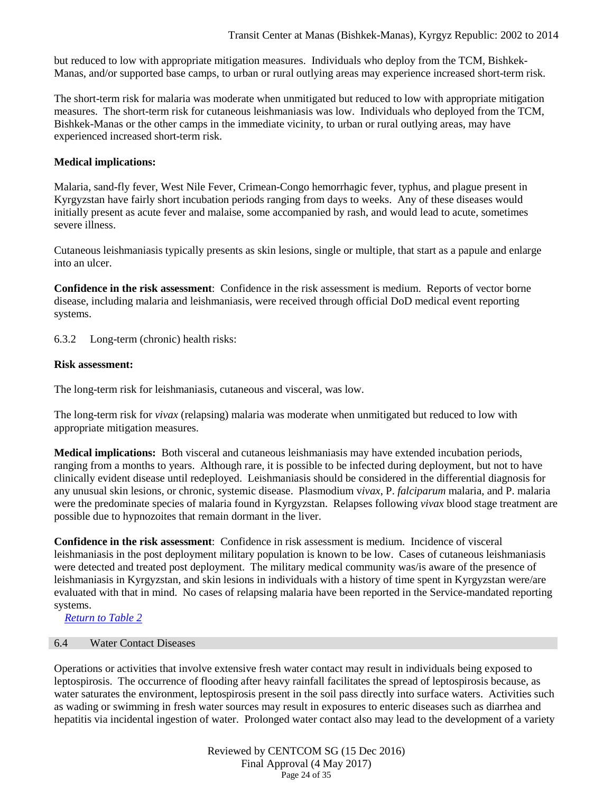but reduced to low with appropriate mitigation measures. Individuals who deploy from the TCM, Bishkek-Manas, and/or supported base camps, to urban or rural outlying areas may experience increased short-term risk.

The short-term risk for malaria was moderate when unmitigated but reduced to low with appropriate mitigation measures. The short-term risk for cutaneous leishmaniasis was low. Individuals who deployed from the TCM, Bishkek-Manas or the other camps in the immediate vicinity, to urban or rural outlying areas, may have experienced increased short-term risk.

### **Medical implications:**

Malaria, sand-fly fever, West Nile Fever, Crimean-Congo hemorrhagic fever, typhus, and plague present in Kyrgyzstan have fairly short incubation periods ranging from days to weeks. Any of these diseases would initially present as acute fever and malaise, some accompanied by rash, and would lead to acute, sometimes severe illness.

Cutaneous leishmaniasis typically presents as skin lesions, single or multiple, that start as a papule and enlarge into an ulcer.

**Confidence in the risk assessment**: Confidence in the risk assessment is medium. Reports of vector borne disease, including malaria and leishmaniasis, were received through official DoD medical event reporting systems.

6.3.2 Long-term (chronic) health risks:

### **Risk assessment:**

The long-term risk for leishmaniasis, cutaneous and visceral, was low.

The long-term risk for *vivax* (relapsing) malaria was moderate when unmitigated but reduced to low with appropriate mitigation measures.

**Medical implications:** Both visceral and cutaneous leishmaniasis may have extended incubation periods, ranging from a months to years. Although rare, it is possible to be infected during deployment, but not to have clinically evident disease until redeployed. Leishmaniasis should be considered in the differential diagnosis for any unusual skin lesions, or chronic, systemic disease. Plasmodium v*ivax*, P. *falciparum* malaria, and P. malaria were the predominate species of malaria found in Kyrgyzstan. Relapses following *vivax* blood stage treatment are possible due to hypnozoites that remain dormant in the liver.

**Confidence in the risk assessment**: Confidence in risk assessment is medium. Incidence of visceral leishmaniasis in the post deployment military population is known to be low. Cases of cutaneous leishmaniasis were detected and treated post deployment. The military medical community was/is aware of the presence of leishmaniasis in Kyrgyzstan, and skin lesions in individuals with a history of time spent in Kyrgyzstan were/are evaluated with that in mind. No cases of relapsing malaria have been reported in the Service-mandated reporting systems.

<span id="page-23-0"></span>*Return to Table 2*

### 6.4 Water Contact Diseases

Operations or activities that involve extensive fresh water contact may result in individuals being exposed to leptospirosis. The occurrence of flooding after heavy rainfall facilitates the spread of leptospirosis because, as water saturates the environment, leptospirosis present in the soil pass directly into surface waters. Activities such as wading or swimming in fresh water sources may result in exposures to enteric diseases such as diarrhea and hepatitis via incidental ingestion of water. Prolonged water contact also may lead to the development of a variety

> Reviewed by CENTCOM SG (15 Dec 2016) Final Approval (4 May 2017) Page 24 of 35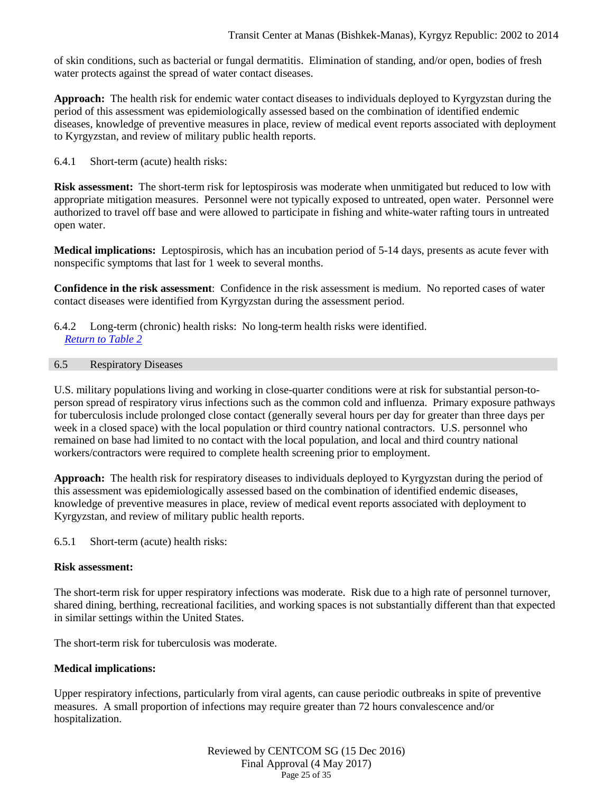of skin conditions, such as bacterial or fungal dermatitis. Elimination of standing, and/or open, bodies of fresh water protects against the spread of water contact diseases.

**Approach:** The health risk for endemic water contact diseases to individuals deployed to Kyrgyzstan during the period of this assessment was epidemiologically assessed based on the combination of identified endemic diseases, knowledge of preventive measures in place, review of medical event reports associated with deployment to Kyrgyzstan, and review of military public health reports.

6.4.1 Short-term (acute) health risks:

**Risk assessment:** The short-term risk for leptospirosis was moderate when unmitigated but reduced to low with appropriate mitigation measures. Personnel were not typically exposed to untreated, open water. Personnel were authorized to travel off base and were allowed to participate in fishing and white-water rafting tours in untreated open water.

**Medical implications:** Leptospirosis, which has an incubation period of 5-14 days, presents as acute fever with nonspecific symptoms that last for 1 week to several months.

**Confidence in the risk assessment**: Confidence in the risk assessment is medium. No reported cases of water contact diseases were identified from Kyrgyzstan during the assessment period.

### 6.4.2 Long-term (chronic) health risks: No long-term health risks were identified. *[Return to Table 2](#page-5-0)*

### <span id="page-24-0"></span>6.5 Respiratory Diseases

U.S. military populations living and working in close-quarter conditions were at risk for substantial person-toperson spread of respiratory virus infections such as the common cold and influenza. Primary exposure pathways for tuberculosis include prolonged close contact (generally several hours per day for greater than three days per week in a closed space) with the local population or third country national contractors. U.S. personnel who remained on base had limited to no contact with the local population, and local and third country national workers/contractors were required to complete health screening prior to employment.

**Approach:** The health risk for respiratory diseases to individuals deployed to Kyrgyzstan during the period of this assessment was epidemiologically assessed based on the combination of identified endemic diseases, knowledge of preventive measures in place, review of medical event reports associated with deployment to Kyrgyzstan, and review of military public health reports.

6.5.1 Short-term (acute) health risks:

### **Risk assessment:**

The short-term risk for upper respiratory infections was moderate. Risk due to a high rate of personnel turnover, shared dining, berthing, recreational facilities, and working spaces is not substantially different than that expected in similar settings within the United States.

The short-term risk for tuberculosis was moderate.

### **Medical implications:**

Upper respiratory infections, particularly from viral agents, can cause periodic outbreaks in spite of preventive measures. A small proportion of infections may require greater than 72 hours convalescence and/or hospitalization.

> Reviewed by CENTCOM SG (15 Dec 2016) Final Approval (4 May 2017) Page 25 of 35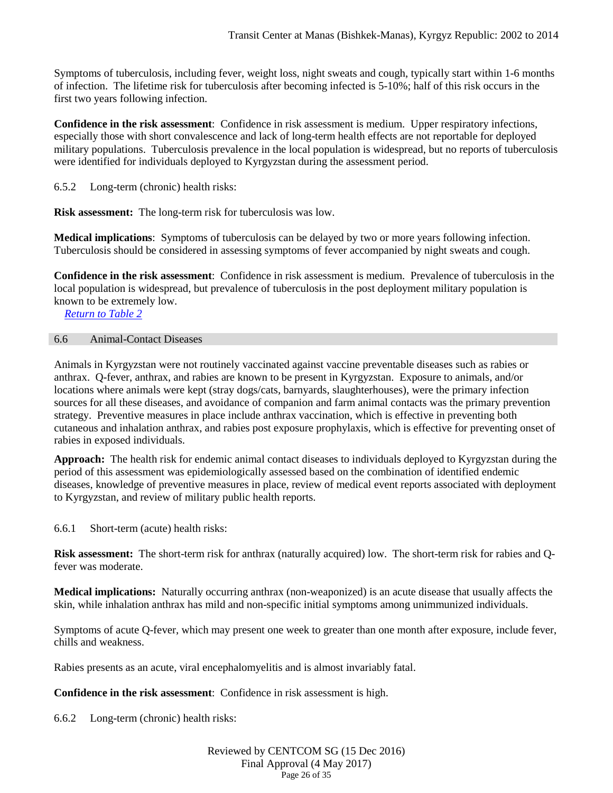Symptoms of tuberculosis, including fever, weight loss, night sweats and cough, typically start within 1-6 months of infection. The lifetime risk for tuberculosis after becoming infected is 5-10%; half of this risk occurs in the first two years following infection.

**Confidence in the risk assessment**: Confidence in risk assessment is medium. Upper respiratory infections, especially those with short convalescence and lack of long-term health effects are not reportable for deployed military populations. Tuberculosis prevalence in the local population is widespread, but no reports of tuberculosis were identified for individuals deployed to Kyrgyzstan during the assessment period.

6.5.2 Long-term (chronic) health risks:

**Risk assessment:** The long-term risk for tuberculosis was low.

**Medical implications**: Symptoms of tuberculosis can be delayed by two or more years following infection. Tuberculosis should be considered in assessing symptoms of fever accompanied by night sweats and cough.

**Confidence in the risk assessment**: Confidence in risk assessment is medium. Prevalence of tuberculosis in the local population is widespread, but prevalence of tuberculosis in the post deployment military population is known to be extremely low.

<span id="page-25-0"></span>*[Return to Table 2](#page-5-1)*

#### 6.6 Animal-Contact Diseases

Animals in Kyrgyzstan were not routinely vaccinated against vaccine preventable diseases such as rabies or anthrax. Q-fever, anthrax, and rabies are known to be present in Kyrgyzstan. Exposure to animals, and/or locations where animals were kept (stray dogs/cats, barnyards, slaughterhouses), were the primary infection sources for all these diseases, and avoidance of companion and farm animal contacts was the primary prevention strategy. Preventive measures in place include anthrax vaccination, which is effective in preventing both cutaneous and inhalation anthrax, and rabies post exposure prophylaxis, which is effective for preventing onset of rabies in exposed individuals.

**Approach:** The health risk for endemic animal contact diseases to individuals deployed to Kyrgyzstan during the period of this assessment was epidemiologically assessed based on the combination of identified endemic diseases, knowledge of preventive measures in place, review of medical event reports associated with deployment to Kyrgyzstan, and review of military public health reports.

6.6.1 Short-term (acute) health risks:

**Risk assessment:** The short-term risk for anthrax (naturally acquired) low. The short-term risk for rabies and Qfever was moderate.

**Medical implications:** Naturally occurring anthrax (non-weaponized) is an acute disease that usually affects the skin, while inhalation anthrax has mild and non-specific initial symptoms among unimmunized individuals.

Symptoms of acute Q-fever, which may present one week to greater than one month after exposure, include fever, chills and weakness.

Rabies presents as an acute, viral encephalomyelitis and is almost invariably fatal.

**Confidence in the risk assessment**: Confidence in risk assessment is high.

6.6.2 Long-term (chronic) health risks:

#### Reviewed by CENTCOM SG (15 Dec 2016) Final Approval (4 May 2017) Page 26 of 35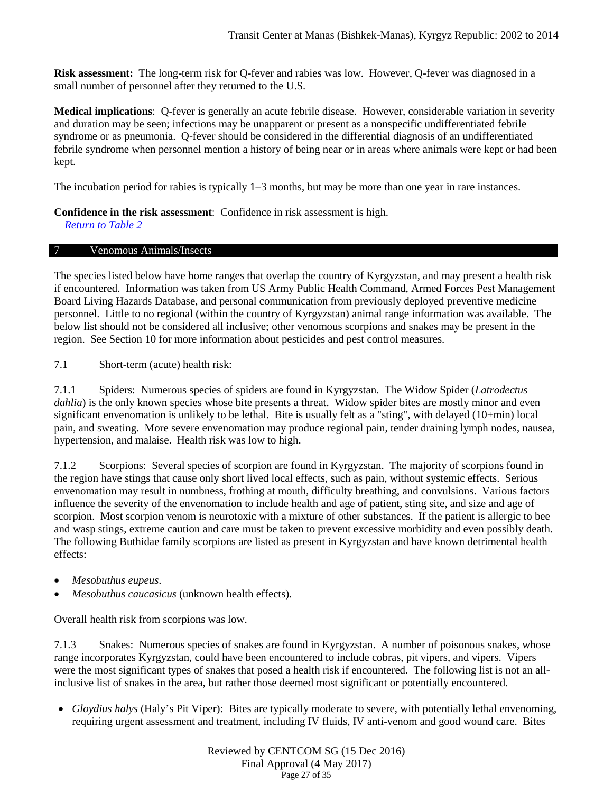**Risk assessment:** The long-term risk for Q-fever and rabies was low. However, Q-fever was diagnosed in a small number of personnel after they returned to the U.S.

**Medical implications**: Q-fever is generally an acute febrile disease. However, considerable variation in severity and duration may be seen; infections may be unapparent or present as a nonspecific undifferentiated febrile syndrome or as pneumonia. Q-fever should be considered in the differential diagnosis of an undifferentiated febrile syndrome when personnel mention a history of being near or in areas where animals were kept or had been kept.

The incubation period for rabies is typically 1–3 months, but may be more than one year in rare instances.

**Confidence in the risk assessment**: Confidence in risk assessment is high.

<span id="page-26-0"></span>*[Return to Table 2](#page-5-2)*

### 7 Venomous Animals/Insects

The species listed below have home ranges that overlap the country of Kyrgyzstan, and may present a health risk if encountered. Information was taken from US Army Public Health Command, Armed Forces Pest Management Board Living Hazards Database, and personal communication from previously deployed preventive medicine personnel. Little to no regional (within the country of Kyrgyzstan) animal range information was available. The below list should not be considered all inclusive; other venomous scorpions and snakes may be present in the region. See Section 10 for more information about pesticides and pest control measures.

7.1 Short-term (acute) health risk:

7.1.1 Spiders: Numerous species of spiders are found in Kyrgyzstan. The Widow Spider (*Latrodectus dahlia*) is the only known species whose bite presents a threat. Widow spider bites are mostly minor and even significant envenomation is unlikely to be lethal. Bite is usually felt as a "sting", with delayed (10+min) local pain, and sweating. More severe envenomation may produce regional pain, tender draining lymph nodes, nausea, hypertension, and malaise. Health risk was low to high.

7.1.2 Scorpions: Several species of scorpion are found in Kyrgyzstan. The majority of scorpions found in the region have stings that cause only short lived local effects, such as pain, without systemic effects. Serious envenomation may result in numbness, frothing at mouth, difficulty breathing, and convulsions. Various factors influence the severity of the envenomation to include health and age of patient, sting site, and size and age of scorpion. Most scorpion venom is neurotoxic with a mixture of other substances. If the patient is allergic to bee and wasp stings, extreme caution and care must be taken to prevent excessive morbidity and even possibly death. The following Buthidae family scorpions are listed as present in Kyrgyzstan and have known detrimental health effects:

- *Mesobuthus eupeus*.
- *Mesobuthus caucasicus* (unknown health effects)*.*

Overall health risk from scorpions was low.

7.1.3 Snakes: Numerous species of snakes are found in Kyrgyzstan. A number of poisonous snakes, whose range incorporates Kyrgyzstan, could have been encountered to include cobras, pit vipers, and vipers. Vipers were the most significant types of snakes that posed a health risk if encountered. The following list is not an allinclusive list of snakes in the area, but rather those deemed most significant or potentially encountered.

• *Gloydius halys* (Haly's Pit Viper): Bites are typically moderate to severe, with potentially lethal envenoming, requiring urgent assessment and treatment, including IV fluids, IV anti-venom and good wound care. Bites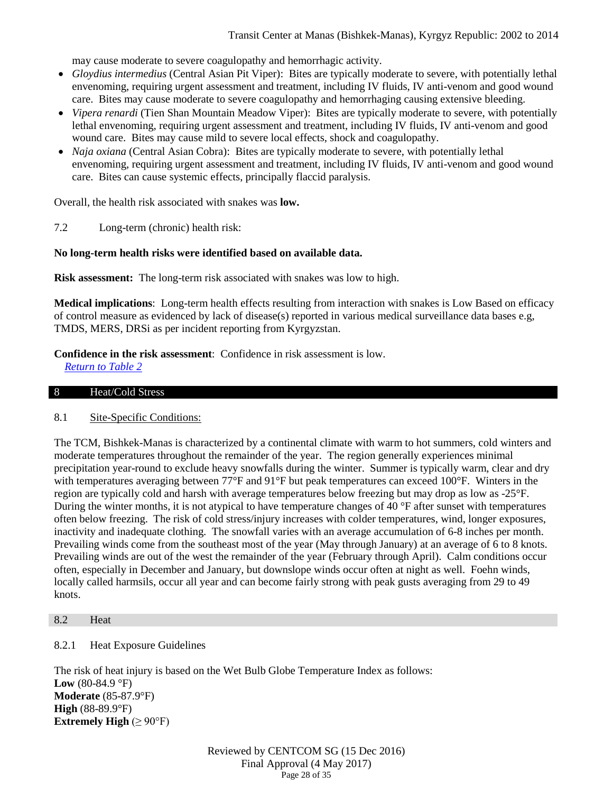may cause moderate to severe coagulopathy and hemorrhagic activity.

- *Gloydius intermedius* (Central Asian Pit Viper): Bites are typically moderate to severe, with potentially lethal envenoming, requiring urgent assessment and treatment, including IV fluids, IV anti-venom and good wound care. Bites may cause moderate to severe coagulopathy and hemorrhaging causing extensive bleeding.
- *Vipera renardi* (Tien Shan Mountain Meadow Viper): Bites are typically moderate to severe, with potentially lethal envenoming, requiring urgent assessment and treatment, including IV fluids, IV anti-venom and good wound care. Bites may cause mild to severe local effects, shock and coagulopathy.
- *Naja oxiana* (Central Asian Cobra): Bites are typically moderate to severe, with potentially lethal envenoming, requiring urgent assessment and treatment, including IV fluids, IV anti-venom and good wound care. Bites can cause systemic effects, principally flaccid paralysis.

Overall, the health risk associated with snakes was **low.**

7.2 Long-term (chronic) health risk:

### **No long-term health risks were identified based on available data.**

**Risk assessment:** The long-term risk associated with snakes was low to high.

**Medical implications**: Long-term health effects resulting from interaction with snakes is Low Based on efficacy of control measure as evidenced by lack of disease(s) reported in various medical surveillance data bases e.g, TMDS, MERS, DRSi as per incident reporting from Kyrgyzstan.

**Confidence in the risk assessment**: Confidence in risk assessment is low. *[Return to Table 2](#page-5-3)*

### <span id="page-27-0"></span>8 Heat/Cold Stress

### 8.1 Site-Specific Conditions:

The TCM, Bishkek-Manas is characterized by a continental climate with warm to hot summers, cold winters and moderate temperatures throughout the remainder of the year. The region generally experiences minimal precipitation year-round to exclude heavy snowfalls during the winter. Summer is typically warm, clear and dry with temperatures averaging between 77°F and 91°F but peak temperatures can exceed 100°F. Winters in the region are typically cold and harsh with average temperatures below freezing but may drop as low as -25°F. During the winter months, it is not atypical to have temperature changes of 40 °F after sunset with temperatures often below freezing. The risk of cold stress/injury increases with colder temperatures, wind, longer exposures, inactivity and inadequate clothing. The snowfall varies with an average accumulation of 6-8 inches per month. Prevailing winds come from the southeast most of the year (May through January) at an average of 6 to 8 knots. Prevailing winds are out of the west the remainder of the year (February through April). Calm conditions occur often, especially in December and January, but downslope winds occur often at night as well. Foehn winds, locally called harmsils, occur all year and can become fairly strong with peak gusts averaging from 29 to 49 knots.

#### <span id="page-27-1"></span>8.2 Heat

### 8.2.1 Heat Exposure Guidelines

The risk of heat injury is based on the Wet Bulb Globe Temperature Index as follows: Low (80-84.9 °F) **Moderate** (85-87.9°F) **High** (88-89.9°F) **Extremely High**  $(\geq 90^{\circ}F)$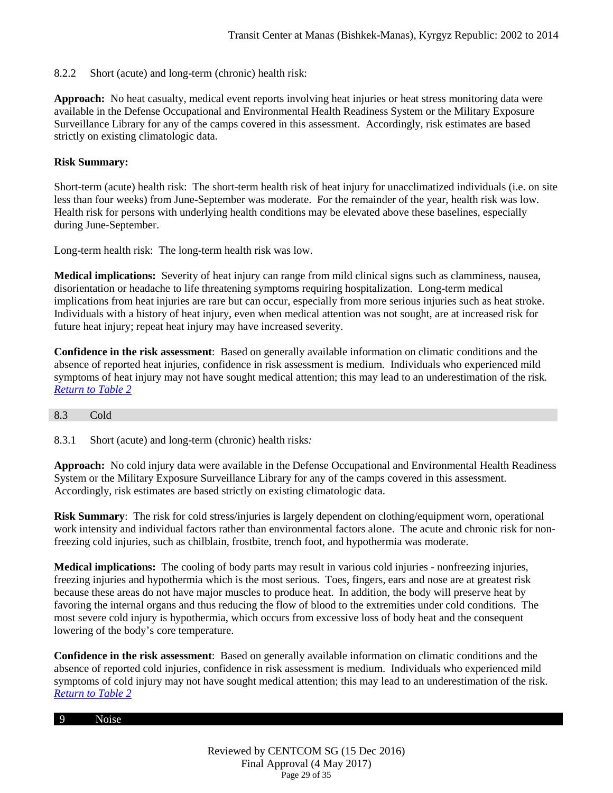### 8.2.2 Short (acute) and long-term (chronic) health risk:

**Approach:** No heat casualty, medical event reports involving heat injuries or heat stress monitoring data were available in the Defense Occupational and Environmental Health Readiness System or the Military Exposure Surveillance Library for any of the camps covered in this assessment. Accordingly, risk estimates are based strictly on existing climatologic data.

### **Risk Summary:**

Short-term (acute) health risk: The short-term health risk of heat injury for unacclimatized individuals (i.e. on site less than four weeks) from June-September was moderate. For the remainder of the year, health risk was low. Health risk for persons with underlying health conditions may be elevated above these baselines, especially during June-September.

Long-term health risk: The long-term health risk was low.

**Medical implications:** Severity of heat injury can range from mild clinical signs such as clamminess, nausea, disorientation or headache to life threatening symptoms requiring hospitalization. Long-term medical implications from heat injuries are rare but can occur, especially from more serious injuries such as heat stroke. Individuals with a history of heat injury, even when medical attention was not sought, are at increased risk for future heat injury; repeat heat injury may have increased severity.

**Confidence in the risk assessment**: Based on generally available information on climatic conditions and the absence of reported heat injuries, confidence in risk assessment is medium. Individuals who experienced mild symptoms of heat injury may not have sought medical attention; this may lead to an underestimation of the risk. *[Return to Table 2](#page-6-0)*

### <span id="page-28-0"></span>8.3 Cold

8.3.1 Short (acute) and long-term (chronic) health risks*:*

**Approach:** No cold injury data were available in the Defense Occupational and Environmental Health Readiness System or the Military Exposure Surveillance Library for any of the camps covered in this assessment. Accordingly, risk estimates are based strictly on existing climatologic data.

**Risk Summary**: The risk for cold stress/injuries is largely dependent on clothing/equipment worn, operational work intensity and individual factors rather than environmental factors alone. The acute and chronic risk for nonfreezing cold injuries, such as chilblain, frostbite, trench foot, and hypothermia was moderate.

**Medical implications:** The cooling of body parts may result in various cold injuries - nonfreezing injuries, freezing injuries and hypothermia which is the most serious. Toes, fingers, ears and nose are at greatest risk because these areas do not have major muscles to produce heat. In addition, the body will preserve heat by favoring the internal organs and thus reducing the flow of blood to the extremities under cold conditions. The most severe cold injury is hypothermia, which occurs from excessive loss of body heat and the consequent lowering of the body's core temperature.

**Confidence in the risk assessment**: Based on generally available information on climatic conditions and the absence of reported cold injuries, confidence in risk assessment is medium. Individuals who experienced mild symptoms of cold injury may not have sought medical attention; this may lead to an underestimation of the risk. *[Return to Table 2](#page-6-1)*

#### 9 Noise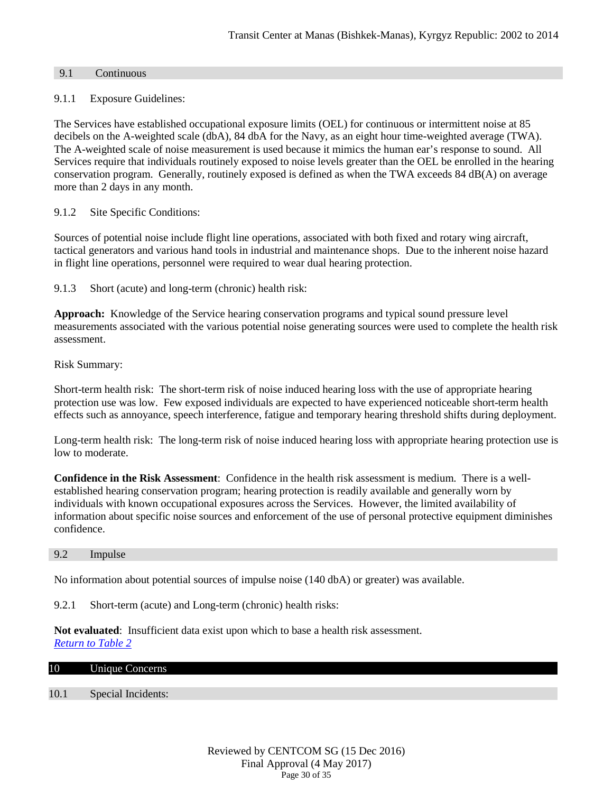### <span id="page-29-0"></span>9.1 Continuous

### 9.1.1 Exposure Guidelines:

The Services have established occupational exposure limits (OEL) for continuous or intermittent noise at 85 decibels on the A-weighted scale (dbA), 84 dbA for the Navy, as an eight hour time-weighted average (TWA). The A-weighted scale of noise measurement is used because it mimics the human ear's response to sound. All Services require that individuals routinely exposed to noise levels greater than the OEL be enrolled in the hearing conservation program. Generally, routinely exposed is defined as when the TWA exceeds 84 dB(A) on average more than 2 days in any month.

9.1.2 Site Specific Conditions:

Sources of potential noise include flight line operations, associated with both fixed and rotary wing aircraft, tactical generators and various hand tools in industrial and maintenance shops. Due to the inherent noise hazard in flight line operations, personnel were required to wear dual hearing protection.

9.1.3 Short (acute) and long-term (chronic) health risk:

**Approach:** Knowledge of the Service hearing conservation programs and typical sound pressure level measurements associated with the various potential noise generating sources were used to complete the health risk assessment.

Risk Summary:

Short-term health risk: The short-term risk of noise induced hearing loss with the use of appropriate hearing protection use was low. Few exposed individuals are expected to have experienced noticeable short-term health effects such as annoyance, speech interference, fatigue and temporary hearing threshold shifts during deployment.

Long-term health risk: The long-term risk of noise induced hearing loss with appropriate hearing protection use is low to moderate.

**Confidence in the Risk Assessment**: Confidence in the health risk assessment is medium. There is a wellestablished hearing conservation program; hearing protection is readily available and generally worn by individuals with known occupational exposures across the Services. However, the limited availability of information about specific noise sources and enforcement of the use of personal protective equipment diminishes confidence.

9.2 Impulse

No information about potential sources of impulse noise (140 dbA) or greater) was available.

9.2.1 Short-term (acute) and Long-term (chronic) health risks:

**Not evaluated**: Insufficient data exist upon which to base a health risk assessment. *[Return to Table 2](#page-6-2)*

<span id="page-29-1"></span>

| 10 |  |  | Unique Concerns |
|----|--|--|-----------------|
|----|--|--|-----------------|

### <span id="page-29-2"></span>10.1 Special Incidents: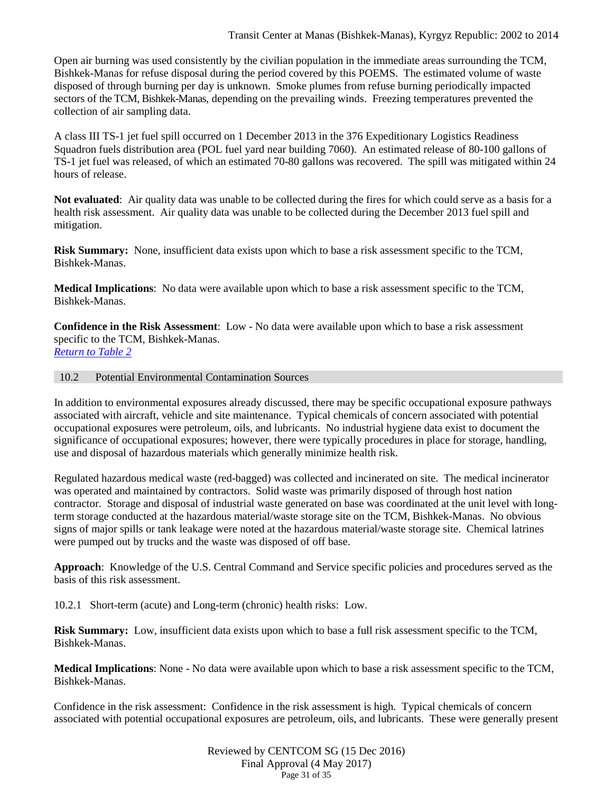Open air burning was used consistently by the civilian population in the immediate areas surrounding the TCM, Bishkek-Manas for refuse disposal during the period covered by this POEMS. The estimated volume of waste disposed of through burning per day is unknown. Smoke plumes from refuse burning periodically impacted sectors of the TCM, Bishkek-Manas, depending on the prevailing winds. Freezing temperatures prevented the collection of air sampling data.

A class III TS-1 jet fuel spill occurred on 1 December 2013 in the 376 Expeditionary Logistics Readiness Squadron fuels distribution area (POL fuel yard near building 7060). An estimated release of 80-100 gallons of TS-1 jet fuel was released, of which an estimated 70-80 gallons was recovered. The spill was mitigated within 24 hours of release.

**Not evaluated**: Air quality data was unable to be collected during the fires for which could serve as a basis for a health risk assessment. Air quality data was unable to be collected during the December 2013 fuel spill and mitigation.

**Risk Summary:** None, insufficient data exists upon which to base a risk assessment specific to the TCM, Bishkek-Manas.

**Medical Implications**: No data were available upon which to base a risk assessment specific to the TCM, Bishkek-Manas.

**Confidence in the Risk Assessment**: Low - No data were available upon which to base a risk assessment specific to the TCM, Bishkek-Manas. *[Return to Table 2](#page-6-3)*

### 10.2 Potential Environmental Contamination Sources

In addition to environmental exposures already discussed, there may be specific occupational exposure pathways associated with aircraft, vehicle and site maintenance. Typical chemicals of concern associated with potential occupational exposures were petroleum, oils, and lubricants. No industrial hygiene data exist to document the significance of occupational exposures; however, there were typically procedures in place for storage, handling, use and disposal of hazardous materials which generally minimize health risk.

Regulated hazardous medical waste (red-bagged) was collected and incinerated on site. The medical incinerator was operated and maintained by contractors. Solid waste was primarily disposed of through host nation contractor. Storage and disposal of industrial waste generated on base was coordinated at the unit level with longterm storage conducted at the hazardous material/waste storage site on the TCM, Bishkek-Manas. No obvious signs of major spills or tank leakage were noted at the hazardous material/waste storage site. Chemical latrines were pumped out by trucks and the waste was disposed of off base.

**Approach**: Knowledge of the U.S. Central Command and Service specific policies and procedures served as the basis of this risk assessment.

10.2.1 Short-term (acute) and Long-term (chronic) health risks: Low.

**Risk Summary:** Low, insufficient data exists upon which to base a full risk assessment specific to the TCM, Bishkek-Manas.

**Medical Implications**: None - No data were available upon which to base a risk assessment specific to the TCM, Bishkek-Manas.

Confidence in the risk assessment: Confidence in the risk assessment is high. Typical chemicals of concern associated with potential occupational exposures are petroleum, oils, and lubricants. These were generally present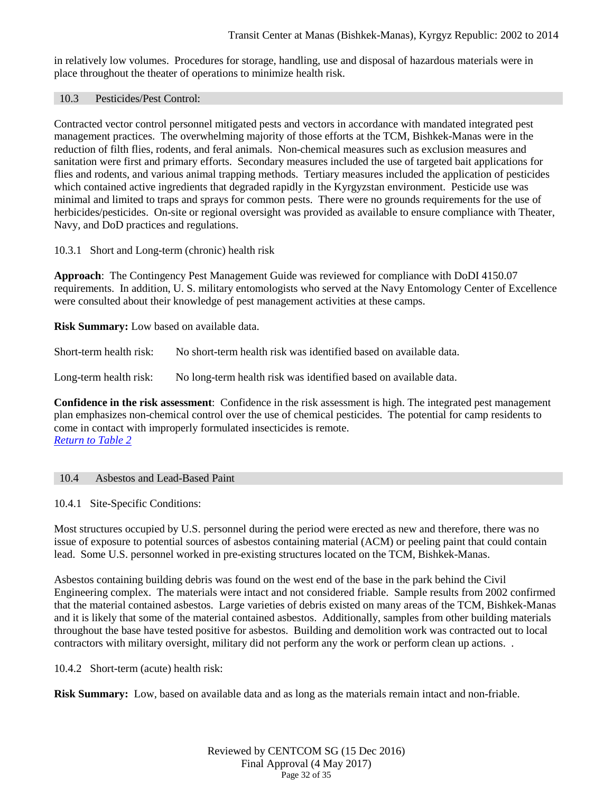in relatively low volumes. Procedures for storage, handling, use and disposal of hazardous materials were in place throughout the theater of operations to minimize health risk.

#### 10.3 Pesticides/Pest Control:

Contracted vector control personnel mitigated pests and vectors in accordance with mandated integrated pest management practices. The overwhelming majority of those efforts at the TCM, Bishkek-Manas were in the reduction of filth flies, rodents, and feral animals. Non-chemical measures such as exclusion measures and sanitation were first and primary efforts. Secondary measures included the use of targeted bait applications for flies and rodents, and various animal trapping methods. Tertiary measures included the application of pesticides which contained active ingredients that degraded rapidly in the Kyrgyzstan environment. Pesticide use was minimal and limited to traps and sprays for common pests. There were no grounds requirements for the use of herbicides/pesticides. On-site or regional oversight was provided as available to ensure compliance with Theater, Navy, and DoD practices and regulations.

10.3.1 Short and Long-term (chronic) health risk

**Approach**: The Contingency Pest Management Guide was reviewed for compliance with DoDI 4150.07 requirements. In addition, U. S. military entomologists who served at the Navy Entomology Center of Excellence were consulted about their knowledge of pest management activities at these camps.

**Risk Summary:** Low based on available data.

Short-term health risk: No short-term health risk was identified based on available data.

Long-term health risk: No long-term health risk was identified based on available data.

**Confidence in the risk assessment**: Confidence in the risk assessment is high. The integrated pest management plan emphasizes non-chemical control over the use of chemical pesticides. The potential for camp residents to come in contact with improperly formulated insecticides is remote. *[Return to Table 2](#page-6-3)*

### 10.4 Asbestos and Lead-Based Paint

10.4.1 Site-Specific Conditions:

Most structures occupied by U.S. personnel during the period were erected as new and therefore, there was no issue of exposure to potential sources of asbestos containing material (ACM) or peeling paint that could contain lead. Some U.S. personnel worked in pre-existing structures located on the TCM, Bishkek-Manas.

Asbestos containing building debris was found on the west end of the base in the park behind the Civil Engineering complex. The materials were intact and not considered friable. Sample results from 2002 confirmed that the material contained asbestos. Large varieties of debris existed on many areas of the TCM, Bishkek-Manas and it is likely that some of the material contained asbestos. Additionally, samples from other building materials throughout the base have tested positive for asbestos. Building and demolition work was contracted out to local contractors with military oversight, military did not perform any the work or perform clean up actions. .

10.4.2 Short-term (acute) health risk:

**Risk Summary:** Low, based on available data and as long as the materials remain intact and non-friable.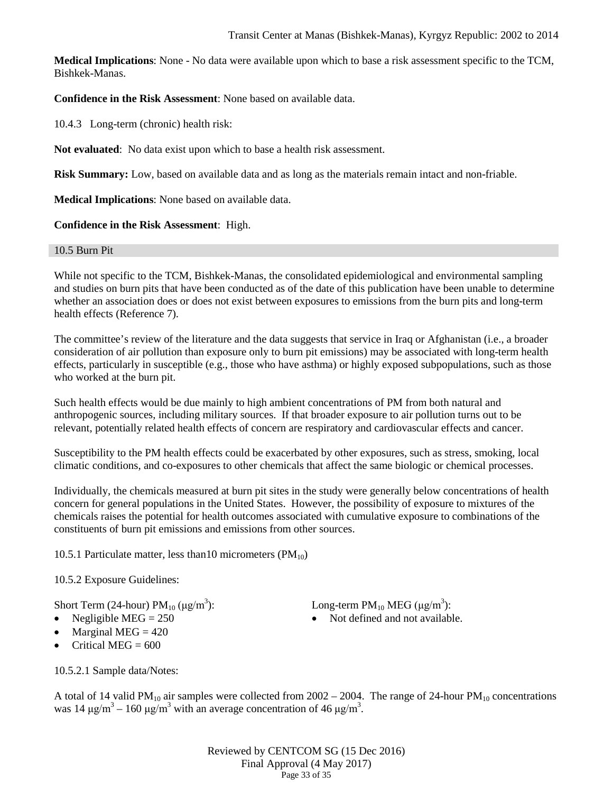**Medical Implications**: None - No data were available upon which to base a risk assessment specific to the TCM, Bishkek-Manas.

# **Confidence in the Risk Assessment**: None based on available data.

10.4.3 Long-term (chronic) health risk:

**Not evaluated**: No data exist upon which to base a health risk assessment.

**Risk Summary:** Low, based on available data and as long as the materials remain intact and non-friable.

**Medical Implications**: None based on available data.

### **Confidence in the Risk Assessment**: High.

### 10.5 Burn Pit

While not specific to the TCM, Bishkek-Manas, the consolidated epidemiological and environmental sampling and studies on burn pits that have been conducted as of the date of this publication have been unable to determine whether an association does or does not exist between exposures to emissions from the burn pits and long-term health effects (Reference 7).

The committee's review of the literature and the data suggests that service in Iraq or Afghanistan (i.e., a broader consideration of air pollution than exposure only to burn pit emissions) may be associated with long-term health effects, particularly in susceptible (e.g., those who have asthma) or highly exposed subpopulations, such as those who worked at the burn pit.

Such health effects would be due mainly to high ambient concentrations of PM from both natural and anthropogenic sources, including military sources. If that broader exposure to air pollution turns out to be relevant, potentially related health effects of concern are respiratory and cardiovascular effects and cancer.

Susceptibility to the PM health effects could be exacerbated by other exposures, such as stress, smoking, local climatic conditions, and co-exposures to other chemicals that affect the same biologic or chemical processes.

Individually, the chemicals measured at burn pit sites in the study were generally below concentrations of health concern for general populations in the United States. However, the possibility of exposure to mixtures of the chemicals raises the potential for health outcomes associated with cumulative exposure to combinations of the constituents of burn pit emissions and emissions from other sources.

10.5.1 Particulate matter, less than 10 micrometers  $(PM_{10})$ 

# 10.5.2 Exposure Guidelines:

Short Term (24-hour)  $PM_{10}$  ( $\mu$ g/m<sup>3</sup>):

- 
- Marginal MEG  $= 420$
- Critical MEG  $= 600$

): Long-term  $PM_{10}$  MEG (μg/m<sup>3</sup>):

• Negligible  $MEG = 250$  • Not defined and not available.

10.5.2.1 Sample data/Notes:

A total of 14 valid PM<sub>10</sub> air samples were collected from  $2002 - 2004$ . The range of 24-hour PM<sub>10</sub> concentrations was 14  $\mu$ g/m<sup>3</sup> – 160  $\mu$ g/m<sup>3</sup> with an average concentration of 46  $\mu$ g/m<sup>3</sup>.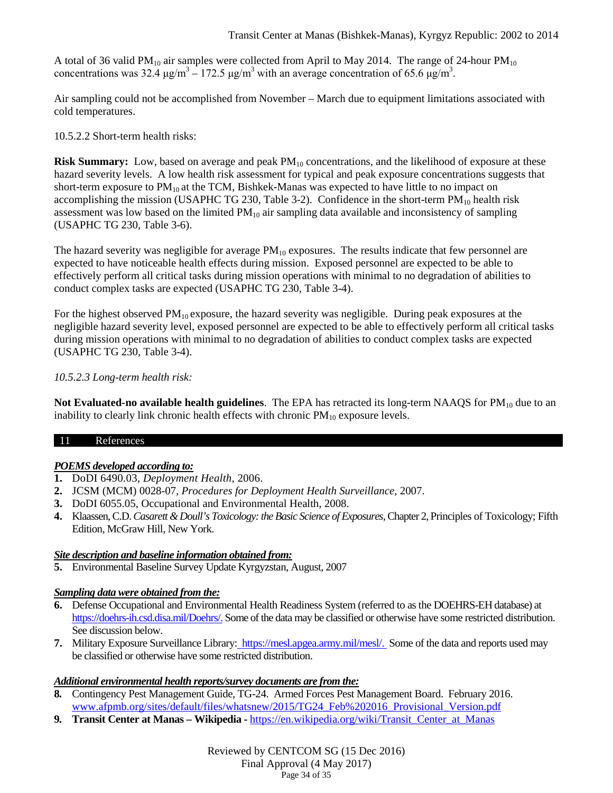A total of 36 valid PM<sub>10</sub> air samples were collected from April to May 2014. The range of 24-hour PM<sub>10</sub> concentrations was 32.4  $\mu$ g/m<sup>3</sup> – 172.5  $\mu$ g/m<sup>3</sup> with an average concentration of 65.6  $\mu$ g/m<sup>3</sup>.

Air sampling could not be accomplished from November – March due to equipment limitations associated with cold temperatures.

10.5.2.2 Short-term health risks:

**Risk Summary:** Low, based on average and peak  $PM_{10}$  concentrations, and the likelihood of exposure at these hazard severity levels. A low health risk assessment for typical and peak exposure concentrations suggests that short-term exposure to  $PM_{10}$  at the TCM, Bishkek-Manas was expected to have little to no impact on accomplishing the mission (USAPHC TG 230, Table 3-2). Confidence in the short-term  $PM_{10}$  health risk assessment was low based on the limited  $PM_{10}$  air sampling data available and inconsistency of sampling (USAPHC TG 230, Table 3-6).

The hazard severity was negligible for average  $PM_{10}$  exposures. The results indicate that few personnel are expected to have noticeable health effects during mission. Exposed personnel are expected to be able to effectively perform all critical tasks during mission operations with minimal to no degradation of abilities to conduct complex tasks are expected (USAPHC TG 230, Table 3-4).

For the highest observed  $PM_{10}$  exposure, the hazard severity was negligible. During peak exposures at the negligible hazard severity level, exposed personnel are expected to be able to effectively perform all critical tasks during mission operations with minimal to no degradation of abilities to conduct complex tasks are expected (USAPHC TG 230, Table 3-4).

### *10.5.2.3 Long-term health risk:*

**Not Evaluated-no available health guidelines**. The EPA has retracted its long-term NAAQS for PM<sub>10</sub> due to an inability to clearly link chronic health effects with chronic  $PM_{10}$  exposure levels.

### 11 References

# *POEMS developed according to:*

- **1.** DoDI 6490.03, *Deployment Health*, 2006.
- **2.** JCSM (MCM) 0028-07, *Procedures for Deployment Health Surveillance,* 2007.
- **3.** DoDI 6055.05, Occupational and Environmental Health, 2008.
- **4.** Klaassen, C.D. *Casarett & Doull's Toxicology: the Basic Science of Exposures*, Chapter 2, Principles of Toxicology; Fifth Edition, McGraw Hill, New York.

### *Site description and baseline information obtained from:*

**5.** Environmental Baseline Survey Update Kyrgyzstan, August, 2007

# *Sampling data were obtained from the:*

- **6.** Defense Occupational and Environmental Health Readiness System (referred to as the DOEHRS-EH database) at [https://doehrs-ih.csd.disa.mil/Doehrs/.](https://doehrs-ih.csd.disa.mil/Doehrs/) Some of the data may be classified or otherwise have some restricted distribution. See discussion below.
- **7.** Military Exposure Surveillance Library: [https://mesl.apgea.army.mil/mesl/.](https://mesl.apgea.army.mil/mesl/) Some of the data and reports used may be classified or otherwise have some restricted distribution.

### *Additional environmental health reports/survey documents are from the:*

- **8.** Contingency Pest Management Guide, TG-24. Armed Forces Pest Management Board. February 2016. [www.afpmb.org/sites/default/files/whatsnew/2015/TG24\\_Feb%202016\\_Provisional\\_Version.pdf](http://www.afpmb.org/sites/default/files/whatsnew/2015/TG24_Feb%202016_Provisional_Version.pdf)
- **9. Transit Center at Manas – Wikipedia -** [https://en.wikipedia.org/wiki/Transit\\_Center\\_at\\_Manas](https://en.wikipedia.org/wiki/Transit_Center_at_Manas)